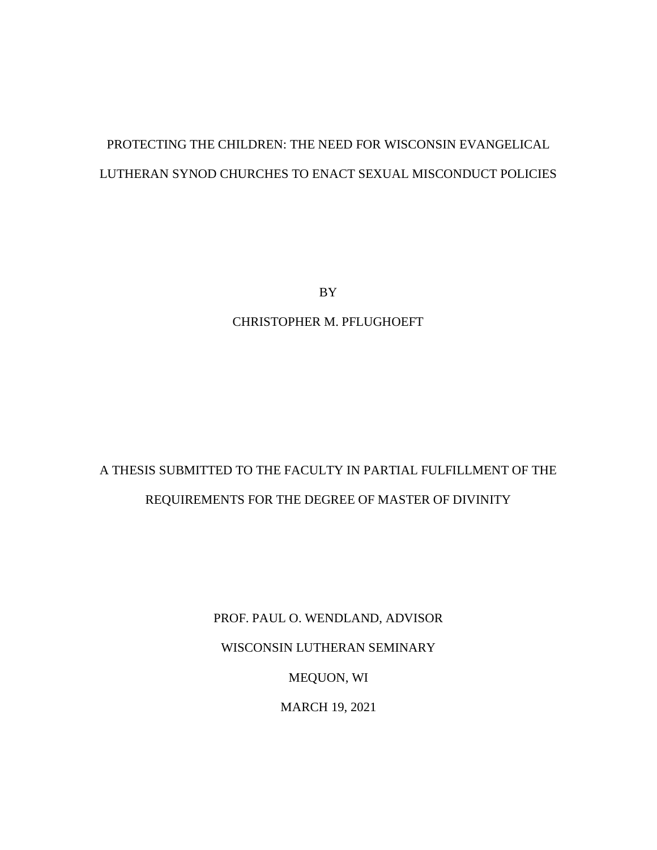# PROTECTING THE CHILDREN: THE NEED FOR WISCONSIN EVANGELICAL LUTHERAN SYNOD CHURCHES TO ENACT SEXUAL MISCONDUCT POLICIES

BY

CHRISTOPHER M. PFLUGHOEFT

# A THESIS SUBMITTED TO THE FACULTY IN PARTIAL FULFILLMENT OF THE REQUIREMENTS FOR THE DEGREE OF MASTER OF DIVINITY

PROF. PAUL O. WENDLAND, ADVISOR WISCONSIN LUTHERAN SEMINARY MEQUON, WI MARCH 19, 2021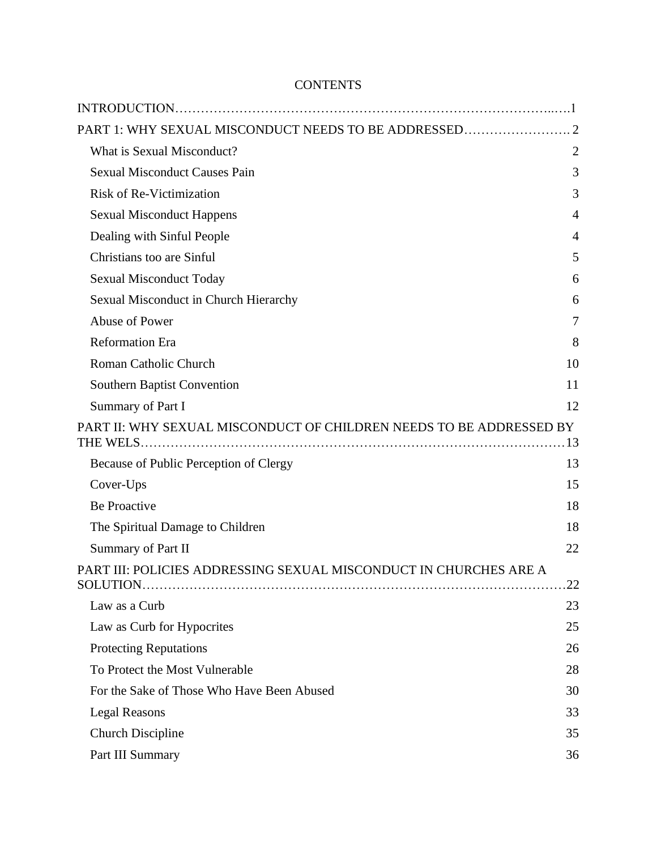# **CONTENTS**

| PART 1: WHY SEXUAL MISCONDUCT NEEDS TO BE ADDRESSED 2               |                |
|---------------------------------------------------------------------|----------------|
| What is Sexual Misconduct?                                          | $\overline{2}$ |
| <b>Sexual Misconduct Causes Pain</b>                                | 3              |
| <b>Risk of Re-Victimization</b>                                     | 3              |
| <b>Sexual Misconduct Happens</b>                                    | 4              |
| Dealing with Sinful People                                          | $\overline{4}$ |
| Christians too are Sinful                                           | 5              |
| <b>Sexual Misconduct Today</b>                                      | 6              |
| Sexual Misconduct in Church Hierarchy                               | 6              |
| Abuse of Power                                                      | 7              |
| <b>Reformation Era</b>                                              | 8              |
| Roman Catholic Church                                               | 10             |
| <b>Southern Baptist Convention</b>                                  | 11             |
| Summary of Part I                                                   | 12             |
| PART II: WHY SEXUAL MISCONDUCT OF CHILDREN NEEDS TO BE ADDRESSED BY |                |
| Because of Public Perception of Clergy                              | 13             |
| Cover-Ups                                                           | 15             |
| <b>Be Proactive</b>                                                 | 18             |
| The Spiritual Damage to Children                                    | 18             |
| <b>Summary of Part II</b>                                           | 22             |
| PART III: POLICIES ADDRESSING SEXUAL MISCONDUCT IN CHURCHES ARE A   | .22            |
| Law as a Curb                                                       | 23             |
| Law as Curb for Hypocrites                                          | 25             |
| <b>Protecting Reputations</b>                                       | 26             |
| To Protect the Most Vulnerable                                      | 28             |
| For the Sake of Those Who Have Been Abused                          | 30             |
| <b>Legal Reasons</b>                                                | 33             |
| <b>Church Discipline</b>                                            | 35             |
| Part III Summary                                                    | 36             |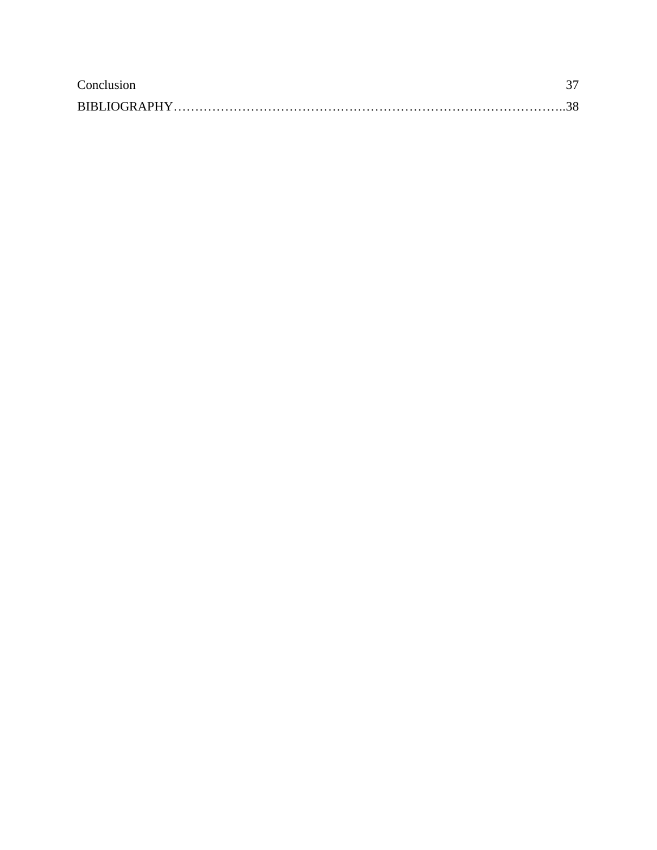| Conclusion          |  |
|---------------------|--|
| <b>BIBLIOGRAPHY</b> |  |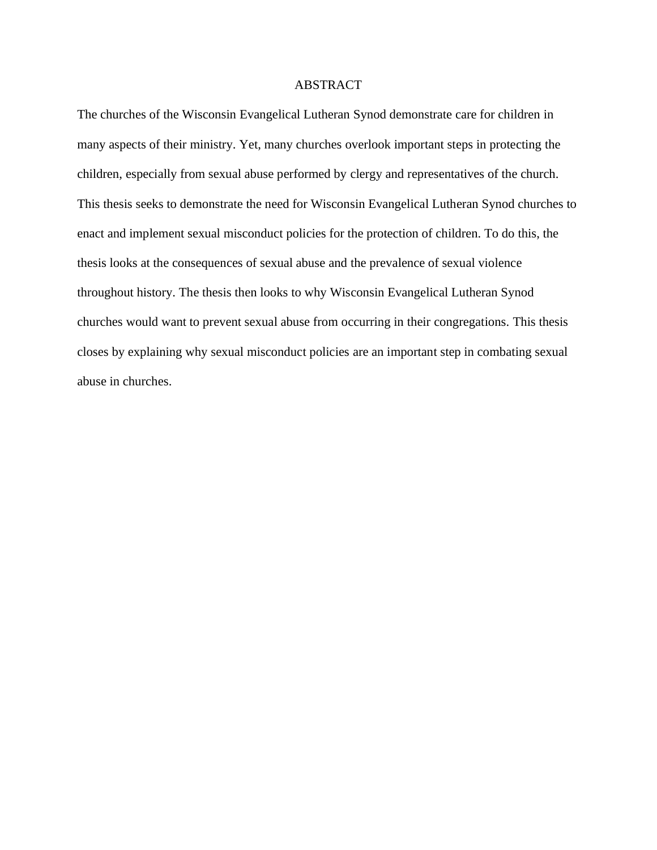# ABSTRACT

The churches of the Wisconsin Evangelical Lutheran Synod demonstrate care for children in many aspects of their ministry. Yet, many churches overlook important steps in protecting the children, especially from sexual abuse performed by clergy and representatives of the church. This thesis seeks to demonstrate the need for Wisconsin Evangelical Lutheran Synod churches to enact and implement sexual misconduct policies for the protection of children. To do this, the thesis looks at the consequences of sexual abuse and the prevalence of sexual violence throughout history. The thesis then looks to why Wisconsin Evangelical Lutheran Synod churches would want to prevent sexual abuse from occurring in their congregations. This thesis closes by explaining why sexual misconduct policies are an important step in combating sexual abuse in churches.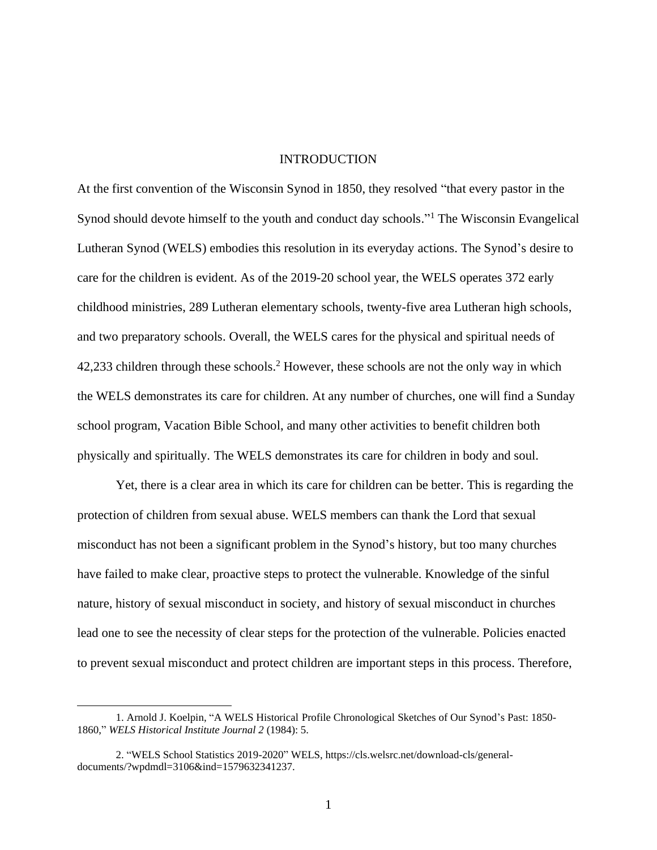## INTRODUCTION

At the first convention of the Wisconsin Synod in 1850, they resolved "that every pastor in the Synod should devote himself to the youth and conduct day schools."<sup>1</sup> The Wisconsin Evangelical Lutheran Synod (WELS) embodies this resolution in its everyday actions. The Synod's desire to care for the children is evident. As of the 2019-20 school year, the WELS operates 372 early childhood ministries, 289 Lutheran elementary schools, twenty-five area Lutheran high schools, and two preparatory schools. Overall, the WELS cares for the physical and spiritual needs of 42,233 children through these schools.<sup>2</sup> However, these schools are not the only way in which the WELS demonstrates its care for children. At any number of churches, one will find a Sunday school program, Vacation Bible School, and many other activities to benefit children both physically and spiritually. The WELS demonstrates its care for children in body and soul.

Yet, there is a clear area in which its care for children can be better. This is regarding the protection of children from sexual abuse. WELS members can thank the Lord that sexual misconduct has not been a significant problem in the Synod's history, but too many churches have failed to make clear, proactive steps to protect the vulnerable. Knowledge of the sinful nature, history of sexual misconduct in society, and history of sexual misconduct in churches lead one to see the necessity of clear steps for the protection of the vulnerable. Policies enacted to prevent sexual misconduct and protect children are important steps in this process. Therefore,

<sup>1.</sup> Arnold J. Koelpin, "A WELS Historical Profile Chronological Sketches of Our Synod's Past: 1850- 1860," *WELS Historical Institute Journal 2* (1984): 5.

<sup>2. &</sup>quot;WELS School Statistics 2019-2020" WELS, https://cls.welsrc.net/download-cls/generaldocuments/?wpdmdl=3106&ind=1579632341237.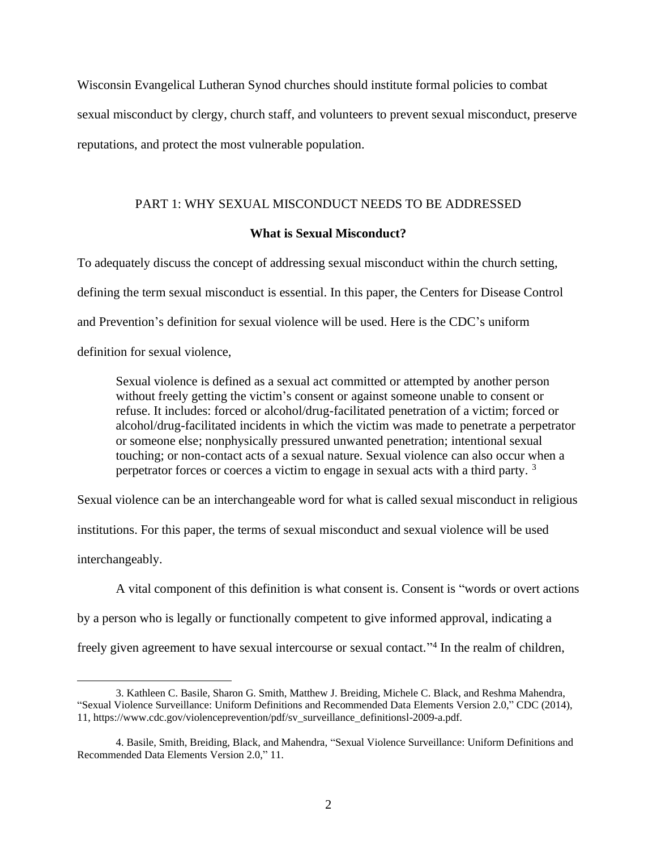Wisconsin Evangelical Lutheran Synod churches should institute formal policies to combat sexual misconduct by clergy, church staff, and volunteers to prevent sexual misconduct, preserve reputations, and protect the most vulnerable population.

# <span id="page-5-0"></span>PART 1: WHY SEXUAL MISCONDUCT NEEDS TO BE ADDRESSED

# **What is Sexual Misconduct?**

<span id="page-5-1"></span>To adequately discuss the concept of addressing sexual misconduct within the church setting, defining the term sexual misconduct is essential. In this paper, the Centers for Disease Control and Prevention's definition for sexual violence will be used. Here is the CDC's uniform definition for sexual violence,

Sexual violence is defined as a sexual act committed or attempted by another person without freely getting the victim's consent or against someone unable to consent or refuse. It includes: forced or alcohol/drug-facilitated penetration of a victim; forced or alcohol/drug-facilitated incidents in which the victim was made to penetrate a perpetrator or someone else; nonphysically pressured unwanted penetration; intentional sexual touching; or non-contact acts of a sexual nature. Sexual violence can also occur when a perpetrator forces or coerces a victim to engage in sexual acts with a third party.<sup>3</sup>

Sexual violence can be an interchangeable word for what is called sexual misconduct in religious

institutions. For this paper, the terms of sexual misconduct and sexual violence will be used

interchangeably.

A vital component of this definition is what consent is. Consent is "words or overt actions

by a person who is legally or functionally competent to give informed approval, indicating a

freely given agreement to have sexual intercourse or sexual contact."<sup>4</sup> In the realm of children,

<sup>3.</sup> Kathleen C. Basile, Sharon G. Smith, Matthew J. Breiding, Michele C. Black, and Reshma Mahendra, "Sexual Violence Surveillance: Uniform Definitions and Recommended Data Elements Version 2.0," CDC (2014), 11, https://www.cdc.gov/violenceprevention/pdf/sv\_surveillance\_definitionsl-2009-a.pdf.

<sup>4.</sup> Basile, Smith, Breiding, Black, and Mahendra, "Sexual Violence Surveillance: Uniform Definitions and Recommended Data Elements Version 2.0," 11.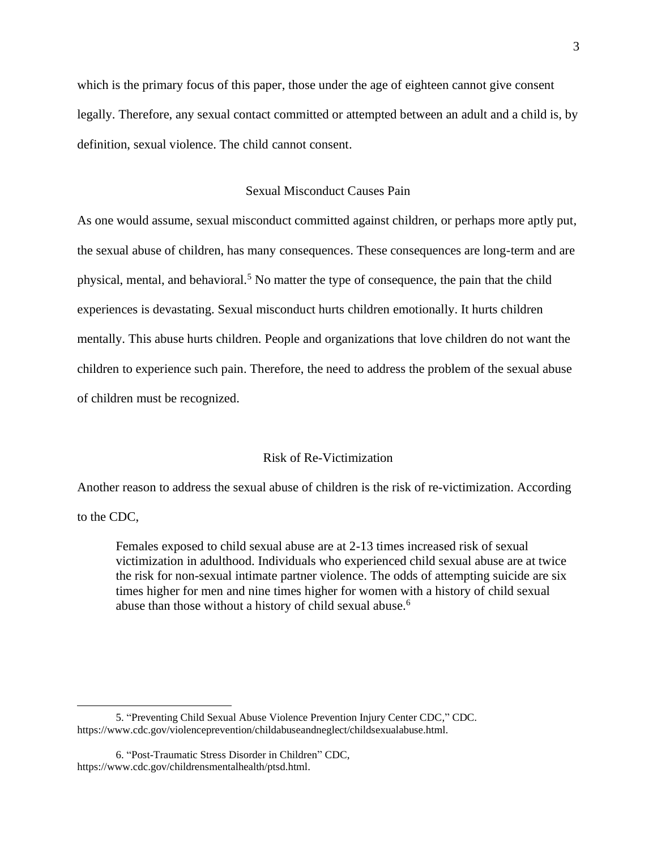which is the primary focus of this paper, those under the age of eighteen cannot give consent legally. Therefore, any sexual contact committed or attempted between an adult and a child is, by definition, sexual violence. The child cannot consent.

# Sexual Misconduct Causes Pain

<span id="page-6-0"></span>As one would assume, sexual misconduct committed against children, or perhaps more aptly put, the sexual abuse of children, has many consequences. These consequences are long-term and are physical, mental, and behavioral.<sup>5</sup> No matter the type of consequence, the pain that the child experiences is devastating. Sexual misconduct hurts children emotionally. It hurts children mentally. This abuse hurts children. People and organizations that love children do not want the children to experience such pain. Therefore, the need to address the problem of the sexual abuse of children must be recognized.

## Risk of Re-Victimization

<span id="page-6-1"></span>Another reason to address the sexual abuse of children is the risk of re-victimization. According

to the CDC,

Females exposed to child sexual abuse are at 2-13 times increased risk of sexual victimization in adulthood. Individuals who experienced child sexual abuse are at twice the risk for non-sexual intimate partner violence. The odds of attempting suicide are six times higher for men and nine times higher for women with a history of child sexual abuse than those without a history of child sexual abuse.<sup>6</sup>

<sup>5. &</sup>quot;Preventing Child Sexual Abuse Violence Prevention Injury Center CDC," CDC. https://www.cdc.gov/violenceprevention/childabuseandneglect/childsexualabuse.html.

<sup>6. &</sup>quot;Post-Traumatic Stress Disorder in Children" CDC, https://www.cdc.gov/childrensmentalhealth/ptsd.html.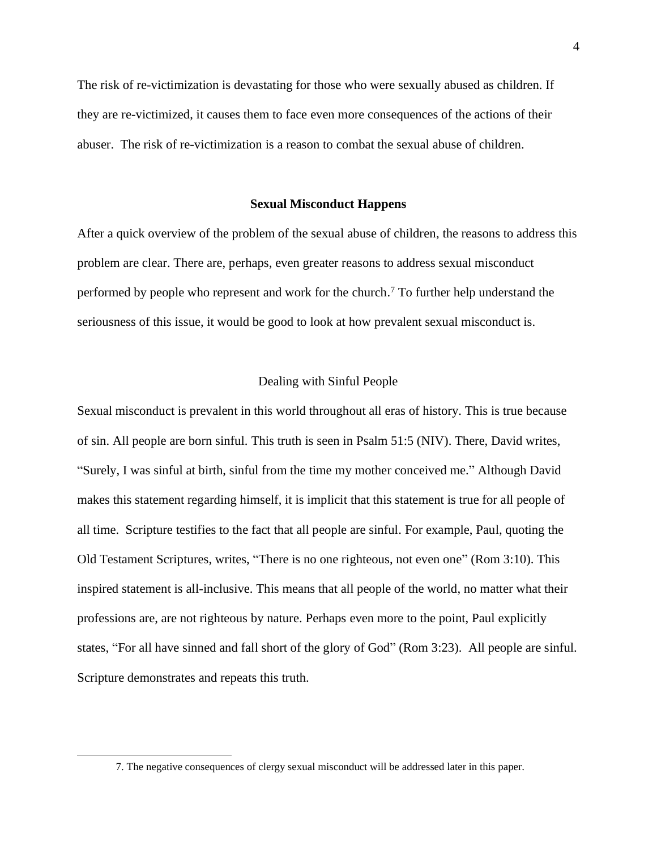The risk of re-victimization is devastating for those who were sexually abused as children. If they are re-victimized, it causes them to face even more consequences of the actions of their abuser. The risk of re-victimization is a reason to combat the sexual abuse of children.

#### **Sexual Misconduct Happens**

<span id="page-7-0"></span>After a quick overview of the problem of the sexual abuse of children, the reasons to address this problem are clear. There are, perhaps, even greater reasons to address sexual misconduct performed by people who represent and work for the church.<sup>7</sup> To further help understand the seriousness of this issue, it would be good to look at how prevalent sexual misconduct is.

#### Dealing with Sinful People

<span id="page-7-1"></span>Sexual misconduct is prevalent in this world throughout all eras of history. This is true because of sin. All people are born sinful. This truth is seen in Psalm 51:5 (NIV). There, David writes, "Surely, I was sinful at birth, sinful from the time my mother conceived me." Although David makes this statement regarding himself, it is implicit that this statement is true for all people of all time. Scripture testifies to the fact that all people are sinful. For example, Paul, quoting the Old Testament Scriptures, writes, "There is no one righteous, not even one" (Rom 3:10). This inspired statement is all-inclusive. This means that all people of the world, no matter what their professions are, are not righteous by nature. Perhaps even more to the point, Paul explicitly states, "For all have sinned and fall short of the glory of God" (Rom 3:23). All people are sinful. Scripture demonstrates and repeats this truth.

<sup>7.</sup> The negative consequences of clergy sexual misconduct will be addressed later in this paper.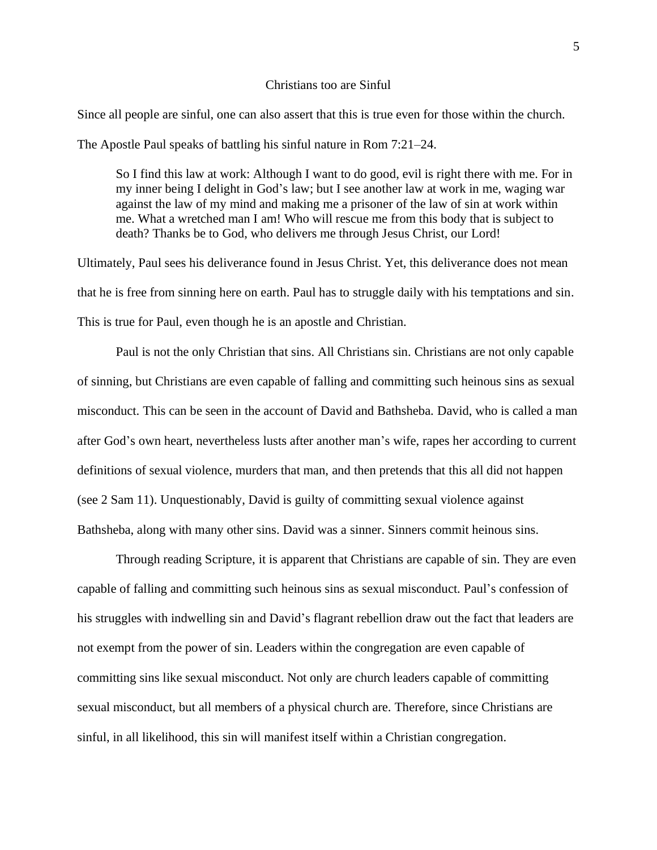#### Christians too are Sinful

<span id="page-8-0"></span>Since all people are sinful, one can also assert that this is true even for those within the church. The Apostle Paul speaks of battling his sinful nature in Rom 7:21–24.

So I find this law at work: Although I want to do good, evil is right there with me. For in my inner being I delight in God's law; but I see another law at work in me, waging war against the law of my mind and making me a prisoner of the law of sin at work within me. What a wretched man I am! Who will rescue me from this body that is subject to death? Thanks be to God, who delivers me through Jesus Christ, our Lord!

Ultimately, Paul sees his deliverance found in Jesus Christ. Yet, this deliverance does not mean that he is free from sinning here on earth. Paul has to struggle daily with his temptations and sin. This is true for Paul, even though he is an apostle and Christian.

Paul is not the only Christian that sins. All Christians sin. Christians are not only capable of sinning, but Christians are even capable of falling and committing such heinous sins as sexual misconduct. This can be seen in the account of David and Bathsheba. David, who is called a man after God's own heart, nevertheless lusts after another man's wife, rapes her according to current definitions of sexual violence, murders that man, and then pretends that this all did not happen (see 2 Sam 11). Unquestionably, David is guilty of committing sexual violence against Bathsheba, along with many other sins. David was a sinner. Sinners commit heinous sins.

Through reading Scripture, it is apparent that Christians are capable of sin. They are even capable of falling and committing such heinous sins as sexual misconduct. Paul's confession of his struggles with indwelling sin and David's flagrant rebellion draw out the fact that leaders are not exempt from the power of sin. Leaders within the congregation are even capable of committing sins like sexual misconduct. Not only are church leaders capable of committing sexual misconduct, but all members of a physical church are. Therefore, since Christians are sinful, in all likelihood, this sin will manifest itself within a Christian congregation.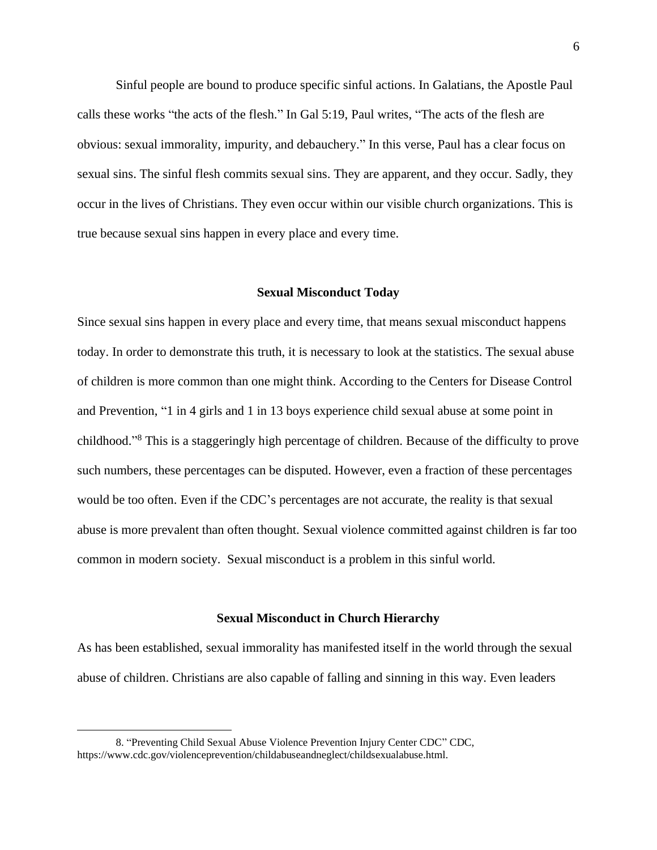Sinful people are bound to produce specific sinful actions. In Galatians, the Apostle Paul calls these works "the acts of the flesh." In Gal 5:19, Paul writes, "The acts of the flesh are obvious: sexual immorality, impurity, and debauchery." In this verse, Paul has a clear focus on sexual sins. The sinful flesh commits sexual sins. They are apparent, and they occur. Sadly, they occur in the lives of Christians. They even occur within our visible church organizations. This is true because sexual sins happen in every place and every time.

#### **Sexual Misconduct Today**

<span id="page-9-0"></span>Since sexual sins happen in every place and every time, that means sexual misconduct happens today. In order to demonstrate this truth, it is necessary to look at the statistics. The sexual abuse of children is more common than one might think. According to the Centers for Disease Control and Prevention, "1 in 4 girls and 1 in 13 boys experience child sexual abuse at some point in childhood." <sup>8</sup> This is a staggeringly high percentage of children. Because of the difficulty to prove such numbers, these percentages can be disputed. However, even a fraction of these percentages would be too often. Even if the CDC's percentages are not accurate, the reality is that sexual abuse is more prevalent than often thought. Sexual violence committed against children is far too common in modern society. Sexual misconduct is a problem in this sinful world.

## **Sexual Misconduct in Church Hierarchy**

<span id="page-9-1"></span>As has been established, sexual immorality has manifested itself in the world through the sexual abuse of children. Christians are also capable of falling and sinning in this way. Even leaders

<sup>8. &</sup>quot;Preventing Child Sexual Abuse Violence Prevention Injury Center CDC" CDC, https://www.cdc.gov/violenceprevention/childabuseandneglect/childsexualabuse.html.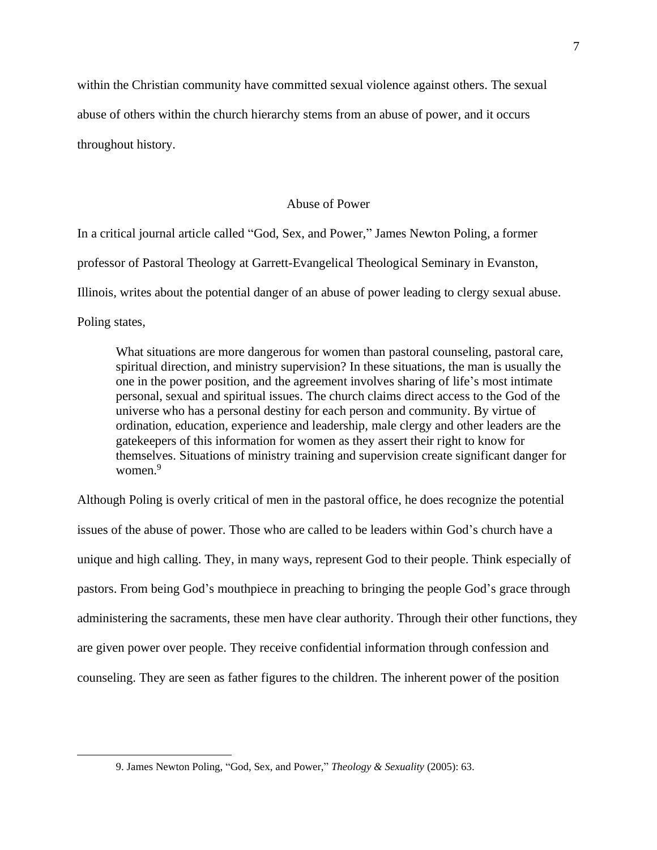within the Christian community have committed sexual violence against others. The sexual abuse of others within the church hierarchy stems from an abuse of power, and it occurs throughout history.

### Abuse of Power

<span id="page-10-0"></span>In a critical journal article called "God, Sex, and Power," James Newton Poling, a former professor of Pastoral Theology at Garrett-Evangelical Theological Seminary in Evanston, Illinois, writes about the potential danger of an abuse of power leading to clergy sexual abuse. Poling states,

What situations are more dangerous for women than pastoral counseling, pastoral care, spiritual direction, and ministry supervision? In these situations, the man is usually the one in the power position, and the agreement involves sharing of life's most intimate personal, sexual and spiritual issues. The church claims direct access to the God of the universe who has a personal destiny for each person and community. By virtue of ordination, education, experience and leadership, male clergy and other leaders are the gatekeepers of this information for women as they assert their right to know for themselves. Situations of ministry training and supervision create significant danger for women.<sup>9</sup>

Although Poling is overly critical of men in the pastoral office, he does recognize the potential issues of the abuse of power. Those who are called to be leaders within God's church have a unique and high calling. They, in many ways, represent God to their people. Think especially of pastors. From being God's mouthpiece in preaching to bringing the people God's grace through administering the sacraments, these men have clear authority. Through their other functions, they are given power over people. They receive confidential information through confession and counseling. They are seen as father figures to the children. The inherent power of the position

<sup>9.</sup> James Newton Poling, "God, Sex, and Power," *Theology & Sexuality* (2005): 63.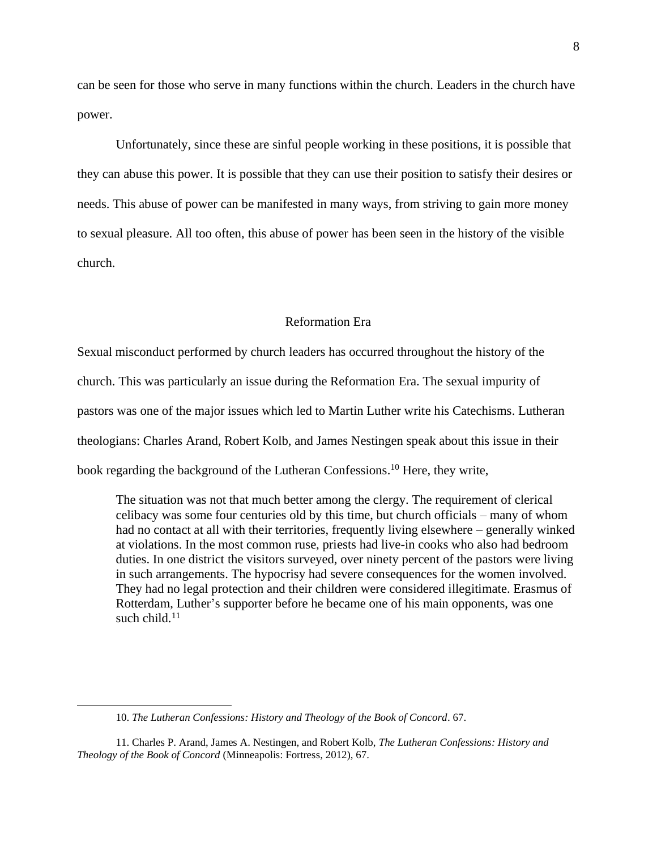can be seen for those who serve in many functions within the church. Leaders in the church have power.

Unfortunately, since these are sinful people working in these positions, it is possible that they can abuse this power. It is possible that they can use their position to satisfy their desires or needs. This abuse of power can be manifested in many ways, from striving to gain more money to sexual pleasure. All too often, this abuse of power has been seen in the history of the visible church.

# Reformation Era

<span id="page-11-0"></span>Sexual misconduct performed by church leaders has occurred throughout the history of the church. This was particularly an issue during the Reformation Era. The sexual impurity of pastors was one of the major issues which led to Martin Luther write his Catechisms. Lutheran theologians: Charles Arand, Robert Kolb, and James Nestingen speak about this issue in their book regarding the background of the Lutheran Confessions. <sup>10</sup> Here, they write,

The situation was not that much better among the clergy. The requirement of clerical celibacy was some four centuries old by this time, but church officials – many of whom had no contact at all with their territories, frequently living elsewhere – generally winked at violations. In the most common ruse, priests had live-in cooks who also had bedroom duties. In one district the visitors surveyed, over ninety percent of the pastors were living in such arrangements. The hypocrisy had severe consequences for the women involved. They had no legal protection and their children were considered illegitimate. Erasmus of Rotterdam, Luther's supporter before he became one of his main opponents, was one such child. $11$ 

<sup>10.</sup> *The Lutheran Confessions: History and Theology of the Book of Concord*. 67.

<sup>11.</sup> Charles P. Arand, James A. Nestingen, and Robert Kolb, *The Lutheran Confessions: History and Theology of the Book of Concord* (Minneapolis: Fortress, 2012), 67.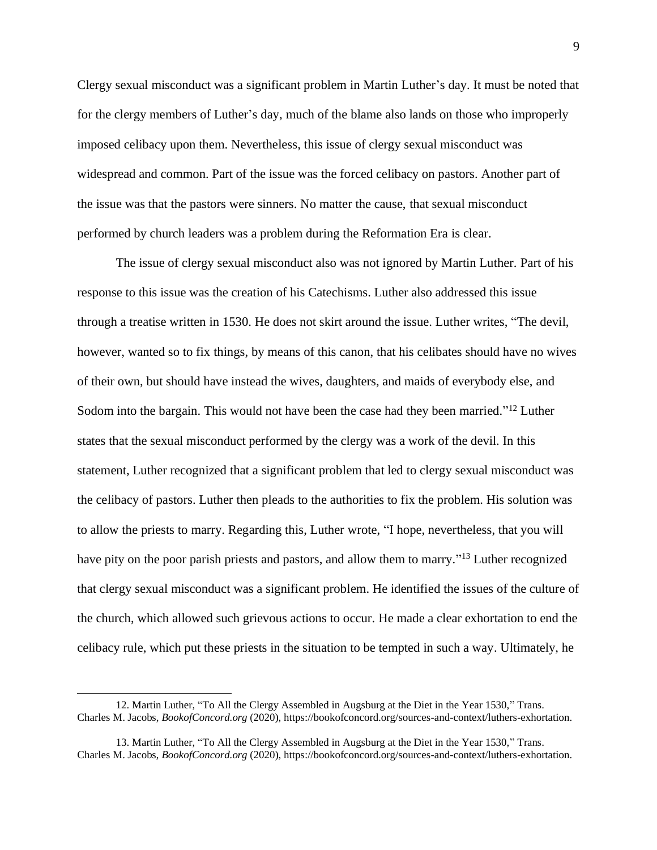Clergy sexual misconduct was a significant problem in Martin Luther's day. It must be noted that for the clergy members of Luther's day, much of the blame also lands on those who improperly imposed celibacy upon them. Nevertheless, this issue of clergy sexual misconduct was widespread and common. Part of the issue was the forced celibacy on pastors. Another part of the issue was that the pastors were sinners. No matter the cause, that sexual misconduct performed by church leaders was a problem during the Reformation Era is clear.

The issue of clergy sexual misconduct also was not ignored by Martin Luther. Part of his response to this issue was the creation of his Catechisms. Luther also addressed this issue through a treatise written in 1530. He does not skirt around the issue. Luther writes, "The devil, however, wanted so to fix things, by means of this canon, that his celibates should have no wives of their own, but should have instead the wives, daughters, and maids of everybody else, and Sodom into the bargain. This would not have been the case had they been married."<sup>12</sup> Luther states that the sexual misconduct performed by the clergy was a work of the devil. In this statement, Luther recognized that a significant problem that led to clergy sexual misconduct was the celibacy of pastors. Luther then pleads to the authorities to fix the problem. His solution was to allow the priests to marry. Regarding this, Luther wrote, "I hope, nevertheless, that you will have pity on the poor parish priests and pastors, and allow them to marry."<sup>13</sup> Luther recognized that clergy sexual misconduct was a significant problem. He identified the issues of the culture of the church, which allowed such grievous actions to occur. He made a clear exhortation to end the celibacy rule, which put these priests in the situation to be tempted in such a way. Ultimately, he

<sup>12.</sup> Martin Luther, "To All the Clergy Assembled in Augsburg at the Diet in the Year 1530," Trans. Charles M. Jacobs, *BookofConcord.org* (2020), https://bookofconcord.org/sources-and-context/luthers-exhortation.

<sup>13.</sup> Martin Luther, "To All the Clergy Assembled in Augsburg at the Diet in the Year 1530," Trans. Charles M. Jacobs, *BookofConcord.org* (2020), https://bookofconcord.org/sources-and-context/luthers-exhortation.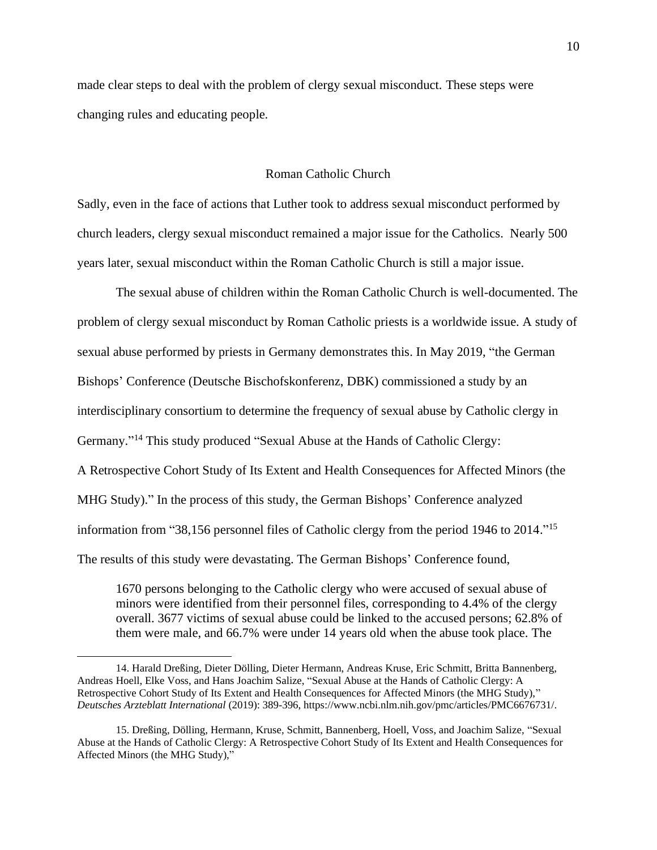made clear steps to deal with the problem of clergy sexual misconduct. These steps were changing rules and educating people.

## Roman Catholic Church

<span id="page-13-0"></span>Sadly, even in the face of actions that Luther took to address sexual misconduct performed by church leaders, clergy sexual misconduct remained a major issue for the Catholics. Nearly 500 years later, sexual misconduct within the Roman Catholic Church is still a major issue.

The sexual abuse of children within the Roman Catholic Church is well-documented. The problem of clergy sexual misconduct by Roman Catholic priests is a worldwide issue. A study of sexual abuse performed by priests in Germany demonstrates this. In May 2019, "the German Bishops' Conference (Deutsche Bischofskonferenz, DBK) commissioned a study by an interdisciplinary consortium to determine the frequency of sexual abuse by Catholic clergy in Germany."<sup>14</sup> This study produced "Sexual Abuse at the Hands of Catholic Clergy: A Retrospective Cohort Study of Its Extent and Health Consequences for Affected Minors (the MHG Study)." In the process of this study, the German Bishops' Conference analyzed information from "38,156 personnel files of Catholic clergy from the period 1946 to 2014." 15 The results of this study were devastating. The German Bishops' Conference found,

1670 persons belonging to the Catholic clergy who were accused of sexual abuse of minors were identified from their personnel files, corresponding to 4.4% of the clergy overall. 3677 victims of sexual abuse could be linked to the accused persons; 62.8% of them were male, and 66.7% were under 14 years old when the abuse took place. The

<sup>14.</sup> Harald Dreßing, Dieter Dölling, Dieter Hermann, Andreas Kruse, Eric Schmitt, Britta Bannenberg, Andreas Hoell, Elke Voss, and Hans Joachim Salize, "Sexual Abuse at the Hands of Catholic Clergy: A Retrospective Cohort Study of Its Extent and Health Consequences for Affected Minors (the MHG Study)," *Deutsches Arzteblatt International* (2019): 389-396, https://www.ncbi.nlm.nih.gov/pmc/articles/PMC6676731/.

<sup>15.</sup> Dreßing, Dölling, Hermann, Kruse, Schmitt, Bannenberg, Hoell, Voss, and Joachim Salize, "Sexual Abuse at the Hands of Catholic Clergy: A Retrospective Cohort Study of Its Extent and Health Consequences for Affected Minors (the MHG Study),"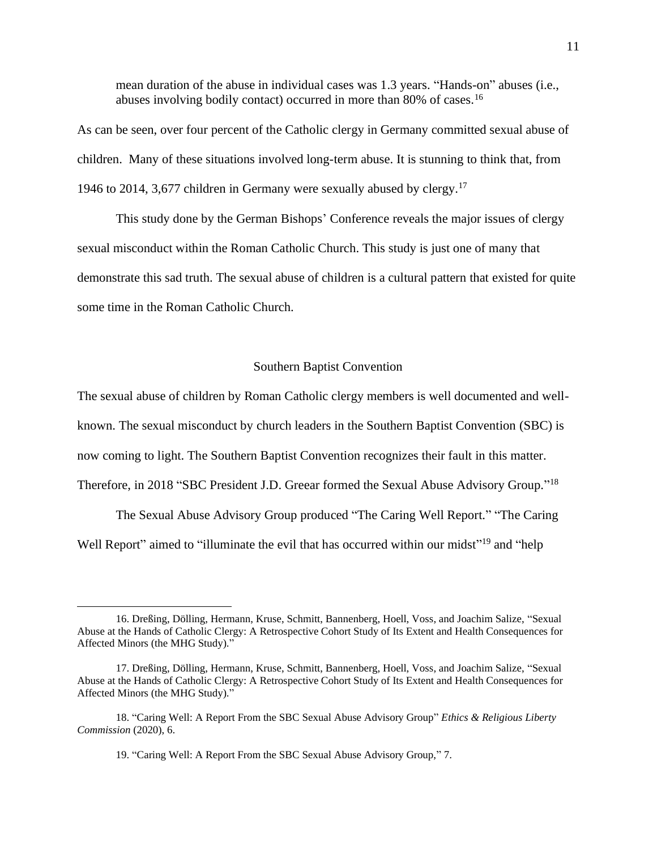mean duration of the abuse in individual cases was 1.3 years. "Hands-on" abuses (i.e., abuses involving bodily contact) occurred in more than 80% of cases.<sup>16</sup>

As can be seen, over four percent of the Catholic clergy in Germany committed sexual abuse of children. Many of these situations involved long-term abuse. It is stunning to think that, from 1946 to 2014, 3,677 children in Germany were sexually abused by clergy. 17

This study done by the German Bishops' Conference reveals the major issues of clergy sexual misconduct within the Roman Catholic Church. This study is just one of many that demonstrate this sad truth. The sexual abuse of children is a cultural pattern that existed for quite some time in the Roman Catholic Church.

#### Southern Baptist Convention

<span id="page-14-0"></span>The sexual abuse of children by Roman Catholic clergy members is well documented and wellknown. The sexual misconduct by church leaders in the Southern Baptist Convention (SBC) is now coming to light. The Southern Baptist Convention recognizes their fault in this matter. Therefore, in 2018 "SBC President J.D. Greear formed the Sexual Abuse Advisory Group."<sup>18</sup>

The Sexual Abuse Advisory Group produced "The Caring Well Report." "The Caring Well Report" aimed to "illuminate the evil that has occurred within our midst"<sup>19</sup> and "help

<sup>16.</sup> Dreßing, Dölling, Hermann, Kruse, Schmitt, Bannenberg, Hoell, Voss, and Joachim Salize, "Sexual Abuse at the Hands of Catholic Clergy: A Retrospective Cohort Study of Its Extent and Health Consequences for Affected Minors (the MHG Study)."

<sup>17.</sup> Dreßing, Dölling, Hermann, Kruse, Schmitt, Bannenberg, Hoell, Voss, and Joachim Salize, "Sexual Abuse at the Hands of Catholic Clergy: A Retrospective Cohort Study of Its Extent and Health Consequences for Affected Minors (the MHG Study)."

<sup>18. &</sup>quot;Caring Well: A Report From the SBC Sexual Abuse Advisory Group" *Ethics & Religious Liberty Commission* (2020), 6.

<sup>19. &</sup>quot;Caring Well: A Report From the SBC Sexual Abuse Advisory Group," 7.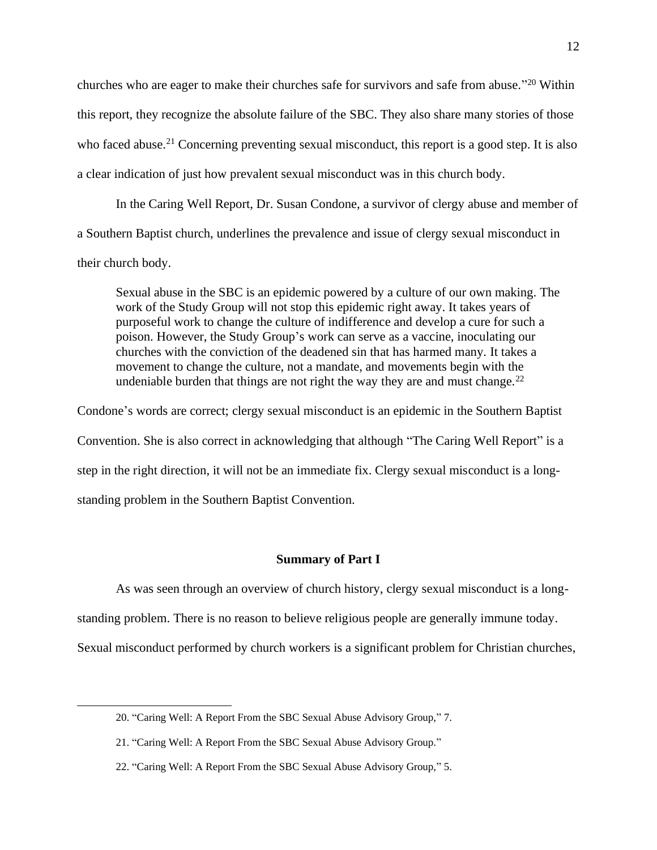churches who are eager to make their churches safe for survivors and safe from abuse."<sup>20</sup> Within this report, they recognize the absolute failure of the SBC. They also share many stories of those who faced abuse.<sup>21</sup> Concerning preventing sexual misconduct, this report is a good step. It is also a clear indication of just how prevalent sexual misconduct was in this church body.

In the Caring Well Report, Dr. Susan Condone, a survivor of clergy abuse and member of a Southern Baptist church, underlines the prevalence and issue of clergy sexual misconduct in their church body.

Sexual abuse in the SBC is an epidemic powered by a culture of our own making. The work of the Study Group will not stop this epidemic right away. It takes years of purposeful work to change the culture of indifference and develop a cure for such a poison. However, the Study Group's work can serve as a vaccine, inoculating our churches with the conviction of the deadened sin that has harmed many. It takes a movement to change the culture, not a mandate, and movements begin with the undeniable burden that things are not right the way they are and must change.<sup>22</sup>

Condone's words are correct; clergy sexual misconduct is an epidemic in the Southern Baptist Convention. She is also correct in acknowledging that although "The Caring Well Report" is a step in the right direction, it will not be an immediate fix. Clergy sexual misconduct is a longstanding problem in the Southern Baptist Convention.

#### **Summary of Part I**

<span id="page-15-0"></span>As was seen through an overview of church history, clergy sexual misconduct is a long-

standing problem. There is no reason to believe religious people are generally immune today.

Sexual misconduct performed by church workers is a significant problem for Christian churches,

<sup>20. &</sup>quot;Caring Well: A Report From the SBC Sexual Abuse Advisory Group," 7.

<sup>21. &</sup>quot;Caring Well: A Report From the SBC Sexual Abuse Advisory Group."

<sup>22. &</sup>quot;Caring Well: A Report From the SBC Sexual Abuse Advisory Group," 5.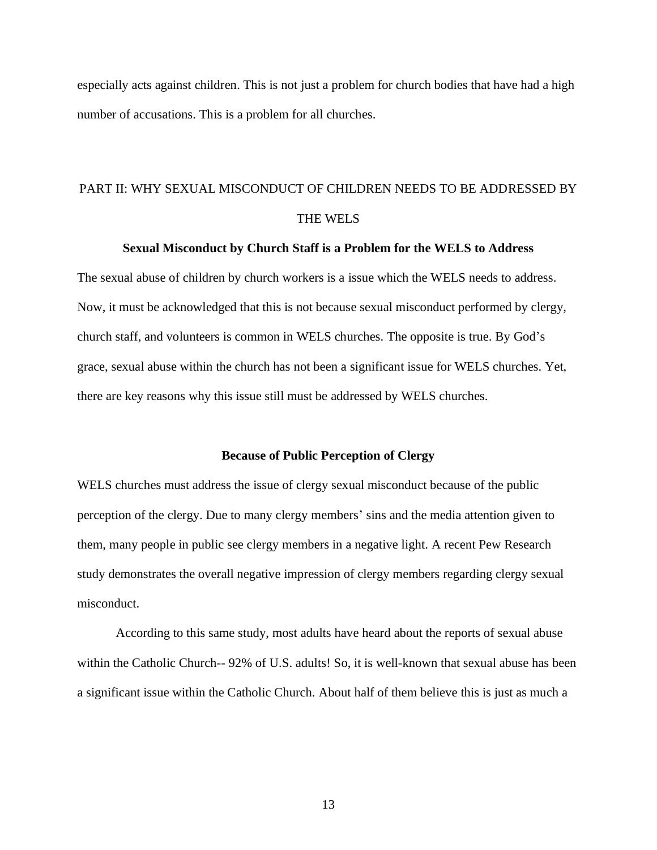especially acts against children. This is not just a problem for church bodies that have had a high number of accusations. This is a problem for all churches.

# <span id="page-16-0"></span>PART II: WHY SEXUAL MISCONDUCT OF CHILDREN NEEDS TO BE ADDRESSED BY THE WELS

## **Sexual Misconduct by Church Staff is a Problem for the WELS to Address**

The sexual abuse of children by church workers is a issue which the WELS needs to address. Now, it must be acknowledged that this is not because sexual misconduct performed by clergy, church staff, and volunteers is common in WELS churches. The opposite is true. By God's grace, sexual abuse within the church has not been a significant issue for WELS churches. Yet, there are key reasons why this issue still must be addressed by WELS churches.

### **Because of Public Perception of Clergy**

<span id="page-16-1"></span>WELS churches must address the issue of clergy sexual misconduct because of the public perception of the clergy. Due to many clergy members' sins and the media attention given to them, many people in public see clergy members in a negative light. A recent Pew Research study demonstrates the overall negative impression of clergy members regarding clergy sexual misconduct.

According to this same study, most adults have heard about the reports of sexual abuse within the Catholic Church-- 92% of U.S. adults! So, it is well-known that sexual abuse has been a significant issue within the Catholic Church. About half of them believe this is just as much a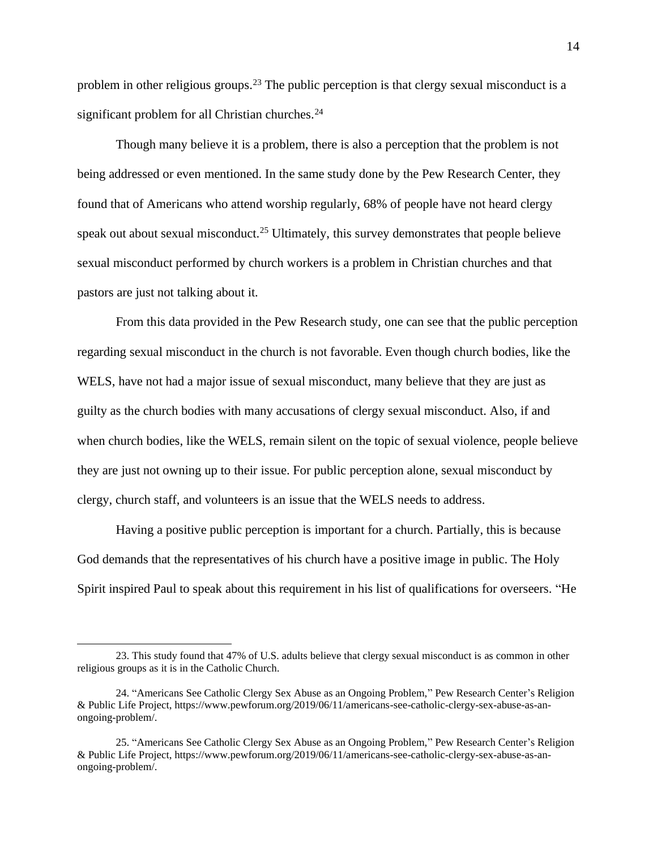problem in other religious groups.<sup>23</sup> The public perception is that clergy sexual misconduct is a significant problem for all Christian churches.<sup>24</sup>

Though many believe it is a problem, there is also a perception that the problem is not being addressed or even mentioned. In the same study done by the Pew Research Center, they found that of Americans who attend worship regularly, 68% of people have not heard clergy speak out about sexual misconduct.<sup>25</sup> Ultimately, this survey demonstrates that people believe sexual misconduct performed by church workers is a problem in Christian churches and that pastors are just not talking about it.

From this data provided in the Pew Research study, one can see that the public perception regarding sexual misconduct in the church is not favorable. Even though church bodies, like the WELS, have not had a major issue of sexual misconduct, many believe that they are just as guilty as the church bodies with many accusations of clergy sexual misconduct. Also, if and when church bodies, like the WELS, remain silent on the topic of sexual violence, people believe they are just not owning up to their issue. For public perception alone, sexual misconduct by clergy, church staff, and volunteers is an issue that the WELS needs to address.

Having a positive public perception is important for a church. Partially, this is because God demands that the representatives of his church have a positive image in public. The Holy Spirit inspired Paul to speak about this requirement in his list of qualifications for overseers. "He

<sup>23.</sup> This study found that 47% of U.S. adults believe that clergy sexual misconduct is as common in other religious groups as it is in the Catholic Church.

<sup>24. &</sup>quot;Americans See Catholic Clergy Sex Abuse as an Ongoing Problem," Pew Research Center's Religion & Public Life Project, https://www.pewforum.org/2019/06/11/americans-see-catholic-clergy-sex-abuse-as-anongoing-problem/.

<sup>25. &</sup>quot;Americans See Catholic Clergy Sex Abuse as an Ongoing Problem," Pew Research Center's Religion & Public Life Project, https://www.pewforum.org/2019/06/11/americans-see-catholic-clergy-sex-abuse-as-anongoing-problem/.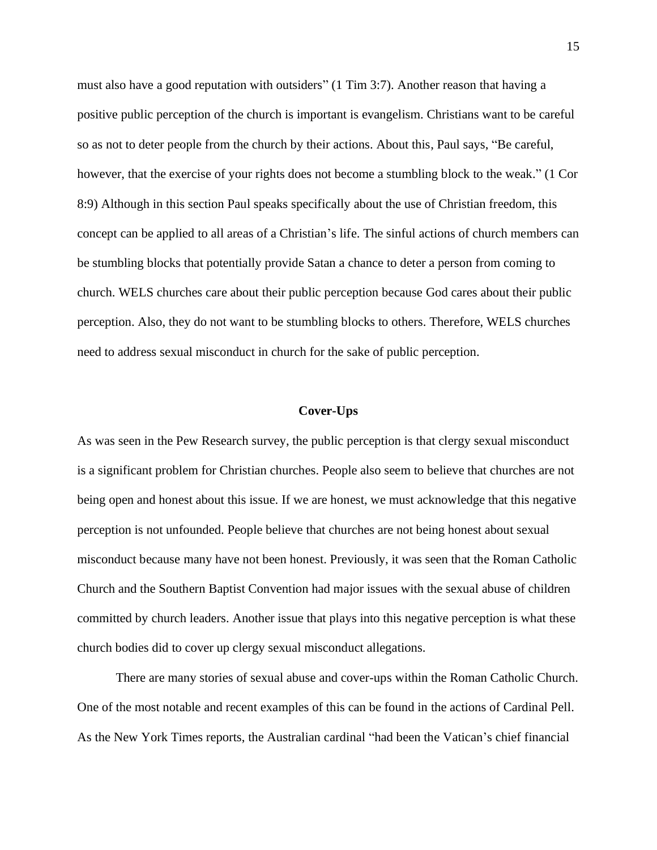must also have a good reputation with outsiders" (1 Tim 3:7). Another reason that having a positive public perception of the church is important is evangelism. Christians want to be careful so as not to deter people from the church by their actions. About this, Paul says, "Be careful, however, that the exercise of your rights does not become a stumbling block to the weak." (1 Cor 8:9) Although in this section Paul speaks specifically about the use of Christian freedom, this concept can be applied to all areas of a Christian's life. The sinful actions of church members can be stumbling blocks that potentially provide Satan a chance to deter a person from coming to church. WELS churches care about their public perception because God cares about their public perception. Also, they do not want to be stumbling blocks to others. Therefore, WELS churches need to address sexual misconduct in church for the sake of public perception.

#### **Cover-Ups**

<span id="page-18-0"></span>As was seen in the Pew Research survey, the public perception is that clergy sexual misconduct is a significant problem for Christian churches. People also seem to believe that churches are not being open and honest about this issue. If we are honest, we must acknowledge that this negative perception is not unfounded. People believe that churches are not being honest about sexual misconduct because many have not been honest. Previously, it was seen that the Roman Catholic Church and the Southern Baptist Convention had major issues with the sexual abuse of children committed by church leaders. Another issue that plays into this negative perception is what these church bodies did to cover up clergy sexual misconduct allegations.

There are many stories of sexual abuse and cover-ups within the Roman Catholic Church. One of the most notable and recent examples of this can be found in the actions of Cardinal Pell. As the New York Times reports, the Australian cardinal "had been the Vatican's chief financial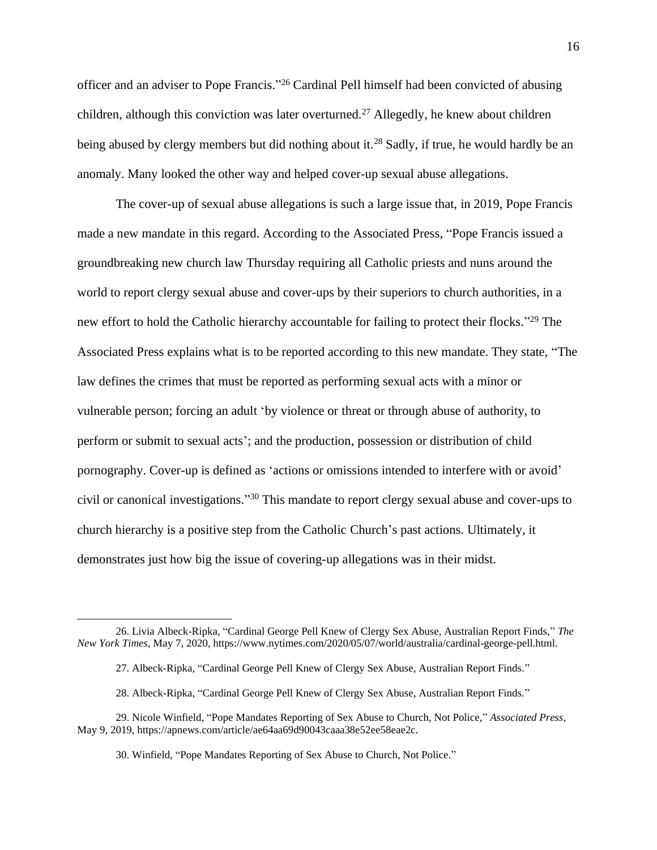officer and an adviser to Pope Francis."<sup>26</sup> Cardinal Pell himself had been convicted of abusing children, although this conviction was later overturned.<sup>27</sup> Allegedly, he knew about children being abused by clergy members but did nothing about it.<sup>28</sup> Sadly, if true, he would hardly be an anomaly. Many looked the other way and helped cover-up sexual abuse allegations.

The cover-up of sexual abuse allegations is such a large issue that, in 2019, Pope Francis made a new mandate in this regard. According to the Associated Press, "Pope Francis issued a groundbreaking new church law Thursday requiring all Catholic priests and nuns around the world to report clergy sexual abuse and cover-ups by their superiors to church authorities, in a new effort to hold the Catholic hierarchy accountable for failing to protect their flocks."<sup>29</sup> The Associated Press explains what is to be reported according to this new mandate. They state, "The law defines the crimes that must be reported as performing sexual acts with a minor or vulnerable person; forcing an adult 'by violence or threat or through abuse of authority, to perform or submit to sexual acts'; and the production, possession or distribution of child pornography. Cover-up is defined as 'actions or omissions intended to interfere with or avoid' civil or canonical investigations." <sup>30</sup> This mandate to report clergy sexual abuse and cover-ups to church hierarchy is a positive step from the Catholic Church's past actions. Ultimately, it demonstrates just how big the issue of covering-up allegations was in their midst.

<sup>26.</sup> Livia Albeck-Ripka, "Cardinal George Pell Knew of Clergy Sex Abuse, Australian Report Finds," *The New York Times*, May 7, 2020, https://www.nytimes.com/2020/05/07/world/australia/cardinal-george-pell.html.

<sup>27.</sup> Albeck-Ripka, "Cardinal George Pell Knew of Clergy Sex Abuse, Australian Report Finds."

<sup>28.</sup> Albeck-Ripka, "Cardinal George Pell Knew of Clergy Sex Abuse, Australian Report Finds."

<sup>29.</sup> Nicole Winfield, "Pope Mandates Reporting of Sex Abuse to Church, Not Police," *Associated Press*, May 9, 2019, https://apnews.com/article/ae64aa69d90043caaa38e52ee58eae2c.

<sup>30.</sup> Winfield, "Pope Mandates Reporting of Sex Abuse to Church, Not Police."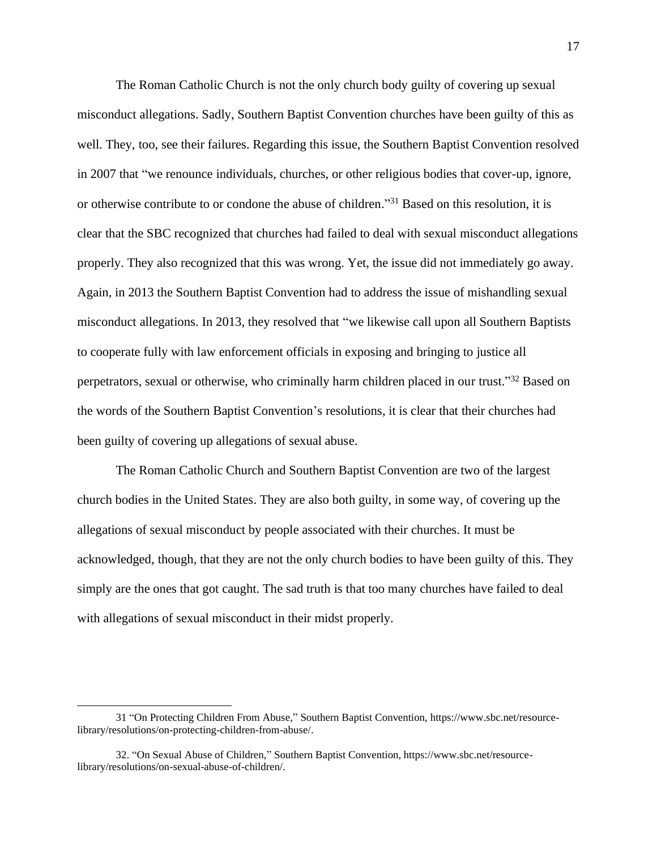The Roman Catholic Church is not the only church body guilty of covering up sexual misconduct allegations. Sadly, Southern Baptist Convention churches have been guilty of this as well. They, too, see their failures. Regarding this issue, the Southern Baptist Convention resolved in 2007 that "we renounce individuals, churches, or other religious bodies that cover-up, ignore, or otherwise contribute to or condone the abuse of children." <sup>31</sup> Based on this resolution, it is clear that the SBC recognized that churches had failed to deal with sexual misconduct allegations properly. They also recognized that this was wrong. Yet, the issue did not immediately go away. Again, in 2013 the Southern Baptist Convention had to address the issue of mishandling sexual misconduct allegations. In 2013, they resolved that "we likewise call upon all Southern Baptists to cooperate fully with law enforcement officials in exposing and bringing to justice all perpetrators, sexual or otherwise, who criminally harm children placed in our trust."<sup>32</sup> Based on the words of the Southern Baptist Convention's resolutions, it is clear that their churches had been guilty of covering up allegations of sexual abuse.

The Roman Catholic Church and Southern Baptist Convention are two of the largest church bodies in the United States. They are also both guilty, in some way, of covering up the allegations of sexual misconduct by people associated with their churches. It must be acknowledged, though, that they are not the only church bodies to have been guilty of this. They simply are the ones that got caught. The sad truth is that too many churches have failed to deal with allegations of sexual misconduct in their midst properly.

<sup>31</sup> "On Protecting Children From Abuse," Southern Baptist Convention, https://www.sbc.net/resourcelibrary/resolutions/on-protecting-children-from-abuse/.

<sup>32. &</sup>quot;On Sexual Abuse of Children," Southern Baptist Convention, https://www.sbc.net/resourcelibrary/resolutions/on-sexual-abuse-of-children/.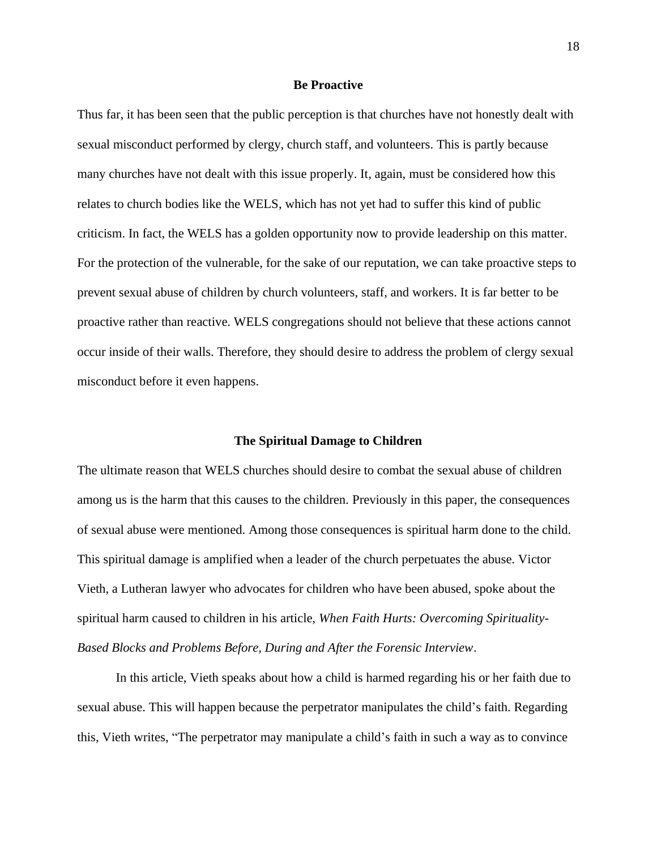#### **Be Proactive**

<span id="page-21-0"></span>Thus far, it has been seen that the public perception is that churches have not honestly dealt with sexual misconduct performed by clergy, church staff, and volunteers. This is partly because many churches have not dealt with this issue properly. It, again, must be considered how this relates to church bodies like the WELS, which has not yet had to suffer this kind of public criticism. In fact, the WELS has a golden opportunity now to provide leadership on this matter. For the protection of the vulnerable, for the sake of our reputation, we can take proactive steps to prevent sexual abuse of children by church volunteers, staff, and workers. It is far better to be proactive rather than reactive. WELS congregations should not believe that these actions cannot occur inside of their walls. Therefore, they should desire to address the problem of clergy sexual misconduct before it even happens.

#### **The Spiritual Damage to Children**

<span id="page-21-1"></span>The ultimate reason that WELS churches should desire to combat the sexual abuse of children among us is the harm that this causes to the children. Previously in this paper, the consequences of sexual abuse were mentioned. Among those consequences is spiritual harm done to the child. This spiritual damage is amplified when a leader of the church perpetuates the abuse. Victor Vieth, a Lutheran lawyer who advocates for children who have been abused, spoke about the spiritual harm caused to children in his article, *When Faith Hurts: Overcoming Spirituality-Based Blocks and Problems Before, During and After the Forensic Interview*.

In this article, Vieth speaks about how a child is harmed regarding his or her faith due to sexual abuse. This will happen because the perpetrator manipulates the child's faith. Regarding this, Vieth writes, "The perpetrator may manipulate a child's faith in such a way as to convince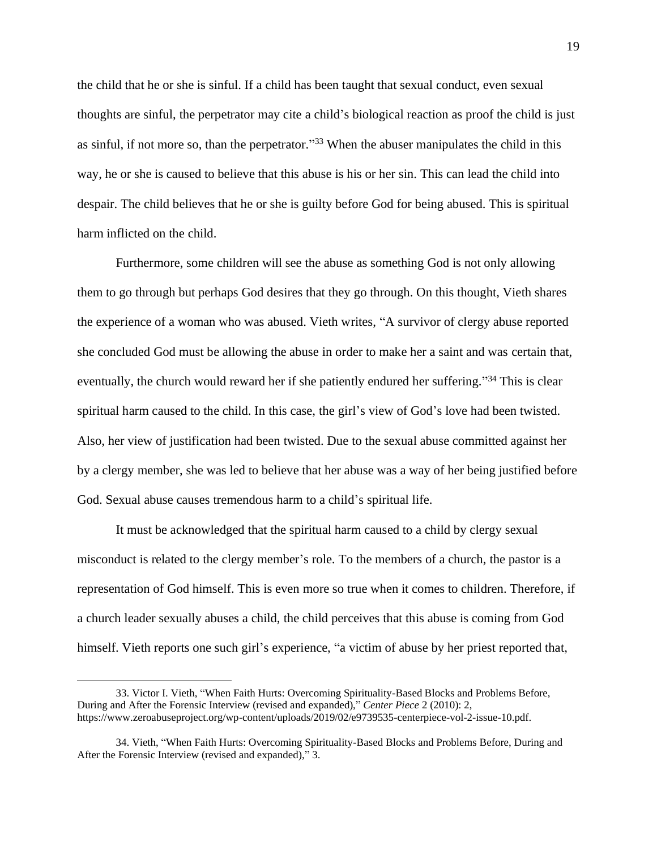the child that he or she is sinful. If a child has been taught that sexual conduct, even sexual thoughts are sinful, the perpetrator may cite a child's biological reaction as proof the child is just as sinful, if not more so, than the perpetrator."<sup>33</sup> When the abuser manipulates the child in this way, he or she is caused to believe that this abuse is his or her sin. This can lead the child into despair. The child believes that he or she is guilty before God for being abused. This is spiritual harm inflicted on the child.

Furthermore, some children will see the abuse as something God is not only allowing them to go through but perhaps God desires that they go through. On this thought, Vieth shares the experience of a woman who was abused. Vieth writes, "A survivor of clergy abuse reported she concluded God must be allowing the abuse in order to make her a saint and was certain that, eventually, the church would reward her if she patiently endured her suffering."<sup>34</sup> This is clear spiritual harm caused to the child. In this case, the girl's view of God's love had been twisted. Also, her view of justification had been twisted. Due to the sexual abuse committed against her by a clergy member, she was led to believe that her abuse was a way of her being justified before God. Sexual abuse causes tremendous harm to a child's spiritual life.

It must be acknowledged that the spiritual harm caused to a child by clergy sexual misconduct is related to the clergy member's role. To the members of a church, the pastor is a representation of God himself. This is even more so true when it comes to children. Therefore, if a church leader sexually abuses a child, the child perceives that this abuse is coming from God himself. Vieth reports one such girl's experience, "a victim of abuse by her priest reported that,

<sup>33.</sup> Victor I. Vieth, "When Faith Hurts: Overcoming Spirituality-Based Blocks and Problems Before, During and After the Forensic Interview (revised and expanded)," *Center Piece* 2 (2010): 2, https://www.zeroabuseproject.org/wp-content/uploads/2019/02/e9739535-centerpiece-vol-2-issue-10.pdf.

<sup>34.</sup> Vieth, "When Faith Hurts: Overcoming Spirituality-Based Blocks and Problems Before, During and After the Forensic Interview (revised and expanded)," 3.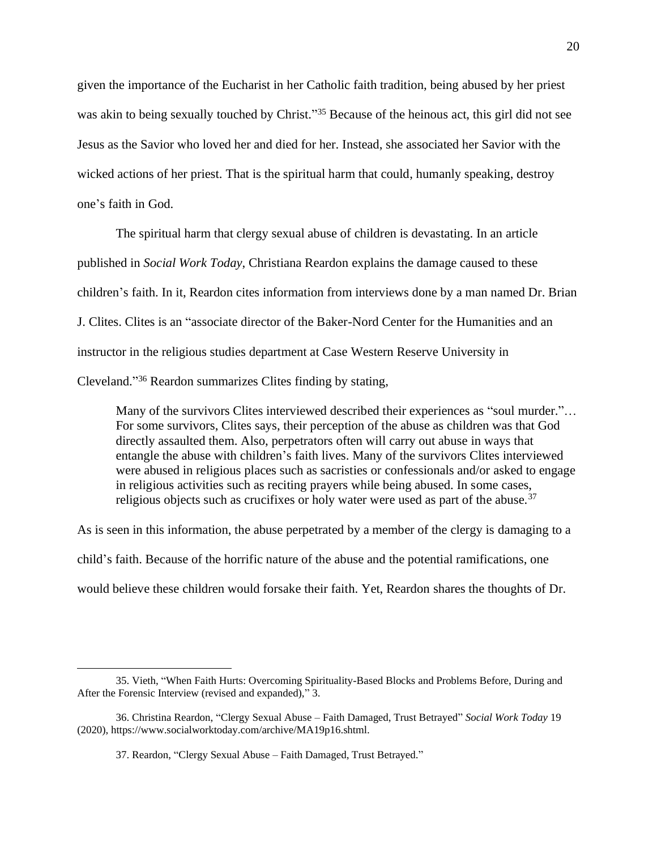given the importance of the Eucharist in her Catholic faith tradition, being abused by her priest was akin to being sexually touched by Christ."<sup>35</sup> Because of the heinous act, this girl did not see Jesus as the Savior who loved her and died for her. Instead, she associated her Savior with the wicked actions of her priest. That is the spiritual harm that could, humanly speaking, destroy one's faith in God.

The spiritual harm that clergy sexual abuse of children is devastating. In an article published in *Social Work Today*, Christiana Reardon explains the damage caused to these children's faith. In it, Reardon cites information from interviews done by a man named Dr. Brian J. Clites. Clites is an "associate director of the Baker-Nord Center for the Humanities and an instructor in the religious studies department at Case Western Reserve University in Cleveland." <sup>36</sup> Reardon summarizes Clites finding by stating,

Many of the survivors Clites interviewed described their experiences as "soul murder."… For some survivors, Clites says, their perception of the abuse as children was that God directly assaulted them. Also, perpetrators often will carry out abuse in ways that entangle the abuse with children's faith lives. Many of the survivors Clites interviewed were abused in religious places such as sacristies or confessionals and/or asked to engage in religious activities such as reciting prayers while being abused. In some cases, religious objects such as crucifixes or holy water were used as part of the abuse.<sup>37</sup>

As is seen in this information, the abuse perpetrated by a member of the clergy is damaging to a child's faith. Because of the horrific nature of the abuse and the potential ramifications, one would believe these children would forsake their faith. Yet, Reardon shares the thoughts of Dr.

<sup>35.</sup> Vieth, "When Faith Hurts: Overcoming Spirituality-Based Blocks and Problems Before, During and After the Forensic Interview (revised and expanded)," 3.

<sup>36.</sup> Christina Reardon, "Clergy Sexual Abuse – Faith Damaged, Trust Betrayed" *Social Work Today* 19 (2020), https://www.socialworktoday.com/archive/MA19p16.shtml.

<sup>37.</sup> Reardon, "Clergy Sexual Abuse – Faith Damaged, Trust Betrayed."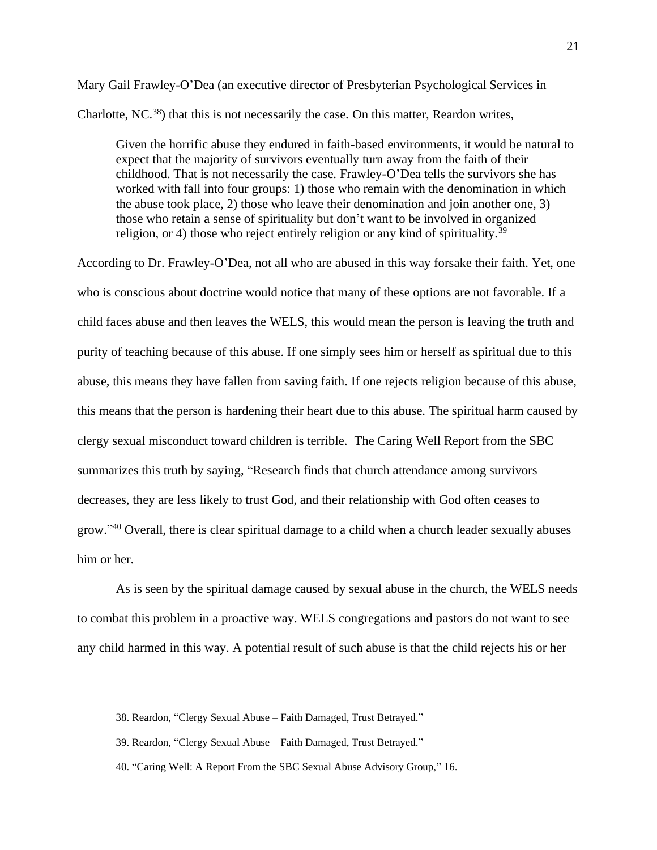Mary Gail Frawley-O'Dea (an executive director of Presbyterian Psychological Services in Charlotte, NC.<sup>38</sup>) that this is not necessarily the case. On this matter, Reardon writes,

Given the horrific abuse they endured in faith-based environments, it would be natural to expect that the majority of survivors eventually turn away from the faith of their childhood. That is not necessarily the case. Frawley-O'Dea tells the survivors she has worked with fall into four groups: 1) those who remain with the denomination in which the abuse took place, 2) those who leave their denomination and join another one, 3) those who retain a sense of spirituality but don't want to be involved in organized religion, or 4) those who reject entirely religion or any kind of spirituality.<sup>39</sup>

According to Dr. Frawley-O'Dea, not all who are abused in this way forsake their faith. Yet, one who is conscious about doctrine would notice that many of these options are not favorable. If a child faces abuse and then leaves the WELS, this would mean the person is leaving the truth and purity of teaching because of this abuse. If one simply sees him or herself as spiritual due to this abuse, this means they have fallen from saving faith. If one rejects religion because of this abuse, this means that the person is hardening their heart due to this abuse. The spiritual harm caused by clergy sexual misconduct toward children is terrible. The Caring Well Report from the SBC summarizes this truth by saying, "Research finds that church attendance among survivors decreases, they are less likely to trust God, and their relationship with God often ceases to grow."<sup>40</sup> Overall, there is clear spiritual damage to a child when a church leader sexually abuses him or her.

As is seen by the spiritual damage caused by sexual abuse in the church, the WELS needs to combat this problem in a proactive way. WELS congregations and pastors do not want to see any child harmed in this way. A potential result of such abuse is that the child rejects his or her

<sup>38.</sup> Reardon, "Clergy Sexual Abuse – Faith Damaged, Trust Betrayed."

<sup>39.</sup> Reardon, "Clergy Sexual Abuse – Faith Damaged, Trust Betrayed."

<sup>40. &</sup>quot;Caring Well: A Report From the SBC Sexual Abuse Advisory Group," 16.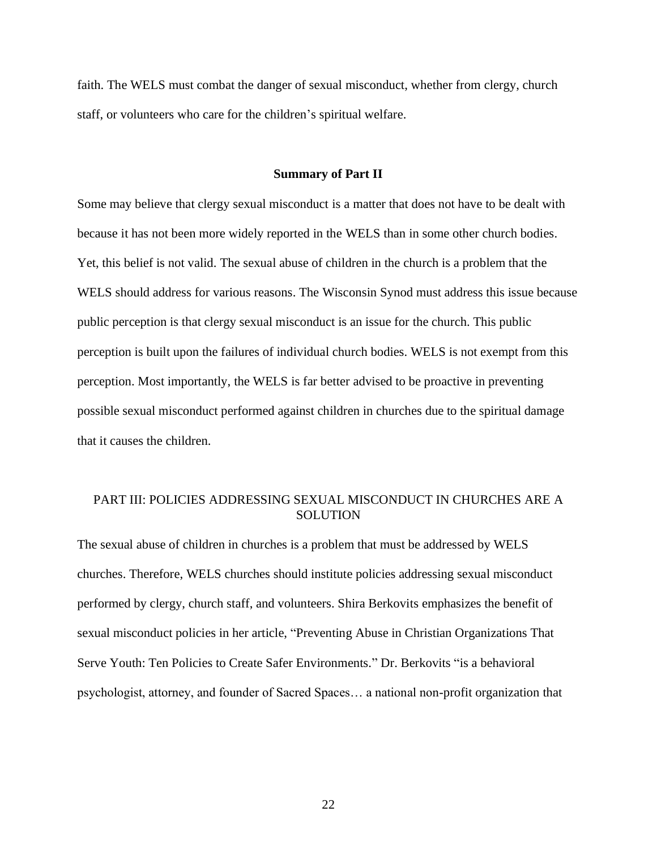faith. The WELS must combat the danger of sexual misconduct, whether from clergy, church staff, or volunteers who care for the children's spiritual welfare.

### **Summary of Part II**

<span id="page-25-0"></span>Some may believe that clergy sexual misconduct is a matter that does not have to be dealt with because it has not been more widely reported in the WELS than in some other church bodies. Yet, this belief is not valid. The sexual abuse of children in the church is a problem that the WELS should address for various reasons. The Wisconsin Synod must address this issue because public perception is that clergy sexual misconduct is an issue for the church. This public perception is built upon the failures of individual church bodies. WELS is not exempt from this perception. Most importantly, the WELS is far better advised to be proactive in preventing possible sexual misconduct performed against children in churches due to the spiritual damage that it causes the children.

# <span id="page-25-1"></span>PART III: POLICIES ADDRESSING SEXUAL MISCONDUCT IN CHURCHES ARE A **SOLUTION**

The sexual abuse of children in churches is a problem that must be addressed by WELS churches. Therefore, WELS churches should institute policies addressing sexual misconduct performed by clergy, church staff, and volunteers. Shira Berkovits emphasizes the benefit of sexual misconduct policies in her article, "Preventing Abuse in Christian Organizations That Serve Youth: Ten Policies to Create Safer Environments." Dr. Berkovits "is a behavioral psychologist, attorney, and founder of Sacred Spaces… a national non-profit organization that

22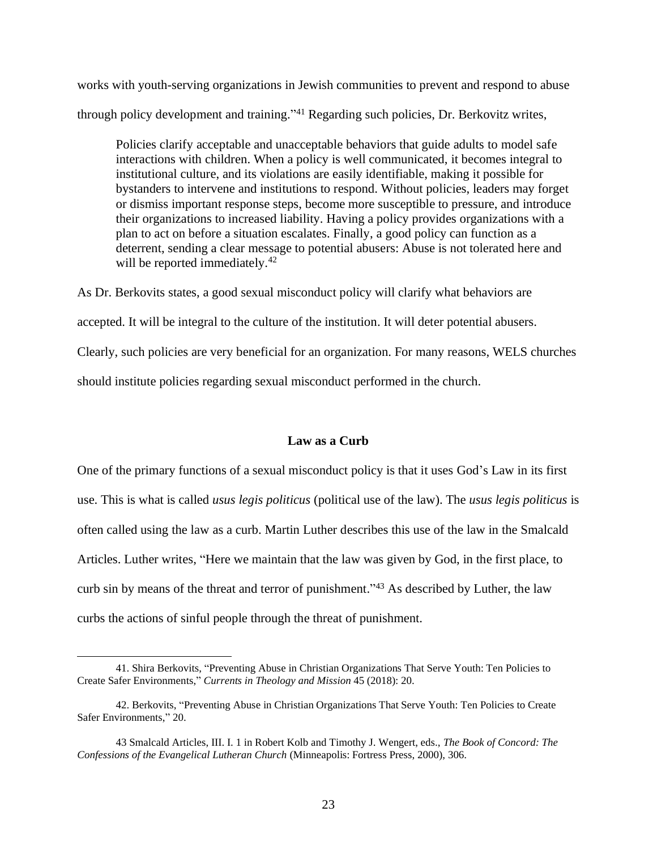works with youth-serving organizations in Jewish communities to prevent and respond to abuse through policy development and training." <sup>41</sup> Regarding such policies, Dr. Berkovitz writes,

Policies clarify acceptable and unacceptable behaviors that guide adults to model safe interactions with children. When a policy is well communicated, it becomes integral to institutional culture, and its violations are easily identifiable, making it possible for bystanders to intervene and institutions to respond. Without policies, leaders may forget or dismiss important response steps, become more susceptible to pressure, and introduce their organizations to increased liability. Having a policy provides organizations with a plan to act on before a situation escalates. Finally, a good policy can function as a deterrent, sending a clear message to potential abusers: Abuse is not tolerated here and will be reported immediately.<sup>42</sup>

As Dr. Berkovits states, a good sexual misconduct policy will clarify what behaviors are accepted. It will be integral to the culture of the institution. It will deter potential abusers. Clearly, such policies are very beneficial for an organization. For many reasons, WELS churches should institute policies regarding sexual misconduct performed in the church.

## **Law as a Curb**

<span id="page-26-0"></span>One of the primary functions of a sexual misconduct policy is that it uses God's Law in its first use. This is what is called *usus legis politicus* (political use of the law). The *usus legis politicus* is often called using the law as a curb. Martin Luther describes this use of the law in the Smalcald Articles. Luther writes, "Here we maintain that the law was given by God, in the first place, to curb sin by means of the threat and terror of punishment."<sup>43</sup> As described by Luther, the law curbs the actions of sinful people through the threat of punishment.

<sup>41.</sup> Shira Berkovits, "Preventing Abuse in Christian Organizations That Serve Youth: Ten Policies to Create Safer Environments," *Currents in Theology and Mission* 45 (2018): 20.

<sup>42.</sup> Berkovits, "Preventing Abuse in Christian Organizations That Serve Youth: Ten Policies to Create Safer Environments," 20.

<sup>43</sup> Smalcald Articles, III. I. 1 in Robert Kolb and Timothy J. Wengert, eds., *The Book of Concord: The Confessions of the Evangelical Lutheran Church* (Minneapolis: Fortress Press, 2000), 306.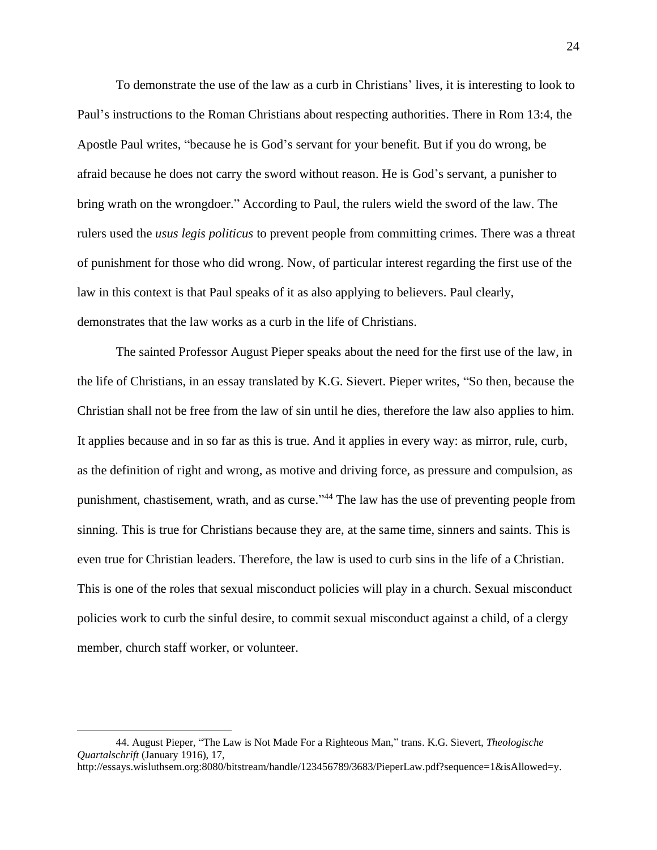To demonstrate the use of the law as a curb in Christians' lives, it is interesting to look to Paul's instructions to the Roman Christians about respecting authorities. There in Rom 13:4, the Apostle Paul writes, "because he is God's servant for your benefit. But if you do wrong, be afraid because he does not carry the sword without reason. He is God's servant, a punisher to bring wrath on the wrongdoer." According to Paul, the rulers wield the sword of the law. The rulers used the *usus legis politicus* to prevent people from committing crimes. There was a threat of punishment for those who did wrong. Now, of particular interest regarding the first use of the law in this context is that Paul speaks of it as also applying to believers. Paul clearly, demonstrates that the law works as a curb in the life of Christians.

The sainted Professor August Pieper speaks about the need for the first use of the law, in the life of Christians, in an essay translated by K.G. Sievert. Pieper writes, "So then, because the Christian shall not be free from the law of sin until he dies, therefore the law also applies to him. It applies because and in so far as this is true. And it applies in every way: as mirror, rule, curb, as the definition of right and wrong, as motive and driving force, as pressure and compulsion, as punishment, chastisement, wrath, and as curse."<sup>44</sup> The law has the use of preventing people from sinning. This is true for Christians because they are, at the same time, sinners and saints. This is even true for Christian leaders. Therefore, the law is used to curb sins in the life of a Christian. This is one of the roles that sexual misconduct policies will play in a church. Sexual misconduct policies work to curb the sinful desire, to commit sexual misconduct against a child, of a clergy member, church staff worker, or volunteer.

<sup>44.</sup> August Pieper, "The Law is Not Made For a Righteous Man," trans. K.G. Sievert, *Theologische Quartalschrift* (January 1916), 17,

http://essays.wisluthsem.org:8080/bitstream/handle/123456789/3683/PieperLaw.pdf?sequence=1&isAllowed=y.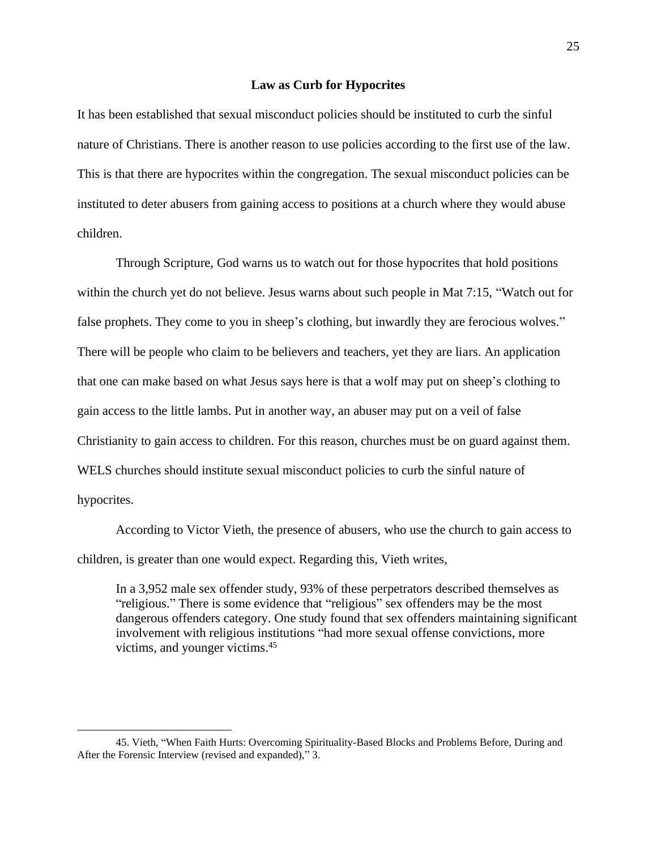#### **Law as Curb for Hypocrites**

<span id="page-28-0"></span>It has been established that sexual misconduct policies should be instituted to curb the sinful nature of Christians. There is another reason to use policies according to the first use of the law. This is that there are hypocrites within the congregation. The sexual misconduct policies can be instituted to deter abusers from gaining access to positions at a church where they would abuse children.

Through Scripture, God warns us to watch out for those hypocrites that hold positions within the church yet do not believe. Jesus warns about such people in Mat 7:15, "Watch out for false prophets. They come to you in sheep's clothing, but inwardly they are ferocious wolves." There will be people who claim to be believers and teachers, yet they are liars. An application that one can make based on what Jesus says here is that a wolf may put on sheep's clothing to gain access to the little lambs. Put in another way, an abuser may put on a veil of false Christianity to gain access to children. For this reason, churches must be on guard against them. WELS churches should institute sexual misconduct policies to curb the sinful nature of hypocrites.

According to Victor Vieth, the presence of abusers, who use the church to gain access to children, is greater than one would expect. Regarding this, Vieth writes,

In a 3,952 male sex offender study, 93% of these perpetrators described themselves as "religious." There is some evidence that "religious" sex offenders may be the most dangerous offenders category. One study found that sex offenders maintaining significant involvement with religious institutions "had more sexual offense convictions, more victims, and younger victims.<sup>45</sup>

<sup>45.</sup> Vieth, "When Faith Hurts: Overcoming Spirituality-Based Blocks and Problems Before, During and After the Forensic Interview (revised and expanded)," 3.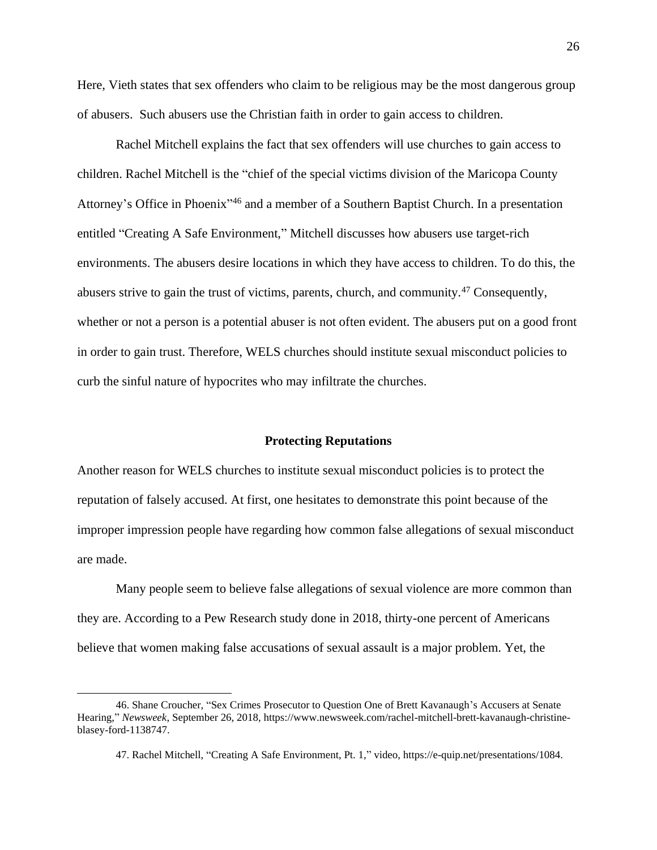Here, Vieth states that sex offenders who claim to be religious may be the most dangerous group of abusers. Such abusers use the Christian faith in order to gain access to children.

Rachel Mitchell explains the fact that sex offenders will use churches to gain access to children. Rachel Mitchell is the "chief of the special victims division of the Maricopa County Attorney's Office in Phoenix<sup>146</sup> and a member of a Southern Baptist Church. In a presentation entitled "Creating A Safe Environment," Mitchell discusses how abusers use target-rich environments. The abusers desire locations in which they have access to children. To do this, the abusers strive to gain the trust of victims, parents, church, and community.<sup>47</sup> Consequently, whether or not a person is a potential abuser is not often evident. The abusers put on a good front in order to gain trust. Therefore, WELS churches should institute sexual misconduct policies to curb the sinful nature of hypocrites who may infiltrate the churches.

#### **Protecting Reputations**

<span id="page-29-0"></span>Another reason for WELS churches to institute sexual misconduct policies is to protect the reputation of falsely accused. At first, one hesitates to demonstrate this point because of the improper impression people have regarding how common false allegations of sexual misconduct are made.

Many people seem to believe false allegations of sexual violence are more common than they are. According to a Pew Research study done in 2018, thirty-one percent of Americans believe that women making false accusations of sexual assault is a major problem. Yet, the

<sup>46.</sup> Shane Croucher, "Sex Crimes Prosecutor to Question One of Brett Kavanaugh's Accusers at Senate Hearing," *Newsweek*, September 26, 2018, https://www.newsweek.com/rachel-mitchell-brett-kavanaugh-christineblasey-ford-1138747.

<sup>47.</sup> Rachel Mitchell, "Creating A Safe Environment, Pt. 1," video, https://e-quip.net/presentations/1084.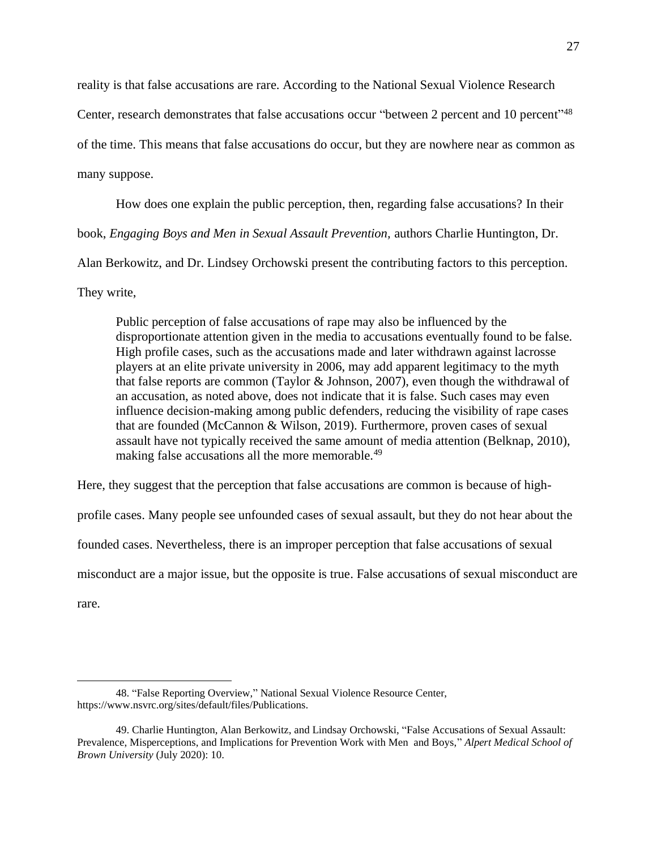reality is that false accusations are rare. According to the National Sexual Violence Research

Center, research demonstrates that false accusations occur "between 2 percent and 10 percent"<sup>48</sup>

of the time. This means that false accusations do occur, but they are nowhere near as common as

many suppose.

How does one explain the public perception, then, regarding false accusations? In their

book, *Engaging Boys and Men in Sexual Assault Prevention,* authors Charlie Huntington, Dr.

Alan Berkowitz, and Dr. Lindsey Orchowski present the contributing factors to this perception.

They write,

Public perception of false accusations of rape may also be influenced by the disproportionate attention given in the media to accusations eventually found to be false. High profile cases, such as the accusations made and later withdrawn against lacrosse players at an elite private university in 2006, may add apparent legitimacy to the myth that false reports are common (Taylor & Johnson, 2007), even though the withdrawal of an accusation, as noted above, does not indicate that it is false. Such cases may even influence decision-making among public defenders, reducing the visibility of rape cases that are founded (McCannon & Wilson, 2019). Furthermore, proven cases of sexual assault have not typically received the same amount of media attention (Belknap, 2010), making false accusations all the more memorable.<sup>49</sup>

Here, they suggest that the perception that false accusations are common is because of high-

profile cases. Many people see unfounded cases of sexual assault, but they do not hear about the

founded cases. Nevertheless, there is an improper perception that false accusations of sexual

misconduct are a major issue, but the opposite is true. False accusations of sexual misconduct are

rare.

<sup>48. &</sup>quot;False Reporting Overview," National Sexual Violence Resource Center, https://www.nsvrc.org/sites/default/files/Publications.

<sup>49.</sup> Charlie Huntington, Alan Berkowitz, and Lindsay Orchowski, "False Accusations of Sexual Assault: Prevalence, Misperceptions, and Implications for Prevention Work with Men and Boys," *Alpert Medical School of Brown University* (July 2020): 10.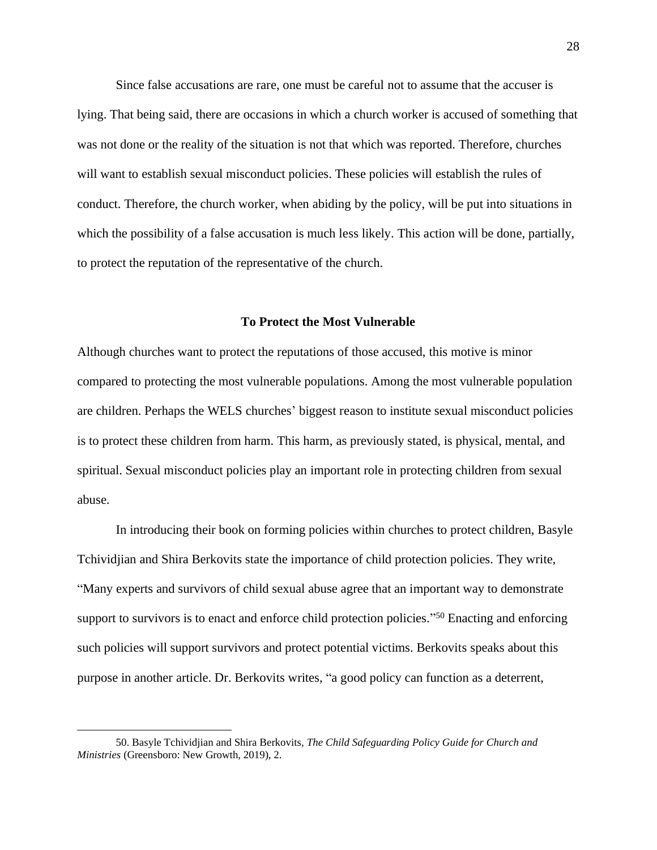Since false accusations are rare, one must be careful not to assume that the accuser is lying. That being said, there are occasions in which a church worker is accused of something that was not done or the reality of the situation is not that which was reported. Therefore, churches will want to establish sexual misconduct policies. These policies will establish the rules of conduct. Therefore, the church worker, when abiding by the policy, will be put into situations in which the possibility of a false accusation is much less likely. This action will be done, partially, to protect the reputation of the representative of the church.

### **To Protect the Most Vulnerable**

<span id="page-31-0"></span>Although churches want to protect the reputations of those accused, this motive is minor compared to protecting the most vulnerable populations. Among the most vulnerable population are children. Perhaps the WELS churches' biggest reason to institute sexual misconduct policies is to protect these children from harm. This harm, as previously stated, is physical, mental, and spiritual. Sexual misconduct policies play an important role in protecting children from sexual abuse.

In introducing their book on forming policies within churches to protect children, Basyle Tchividjian and Shira Berkovits state the importance of child protection policies. They write, "Many experts and survivors of child sexual abuse agree that an important way to demonstrate support to survivors is to enact and enforce child protection policies."<sup>50</sup> Enacting and enforcing such policies will support survivors and protect potential victims. Berkovits speaks about this purpose in another article. Dr. Berkovits writes, "a good policy can function as a deterrent,

<sup>50.</sup> Basyle Tchividjian and Shira Berkovits, *The Child Safeguarding Policy Guide for Church and Ministries* (Greensboro: New Growth, 2019), 2.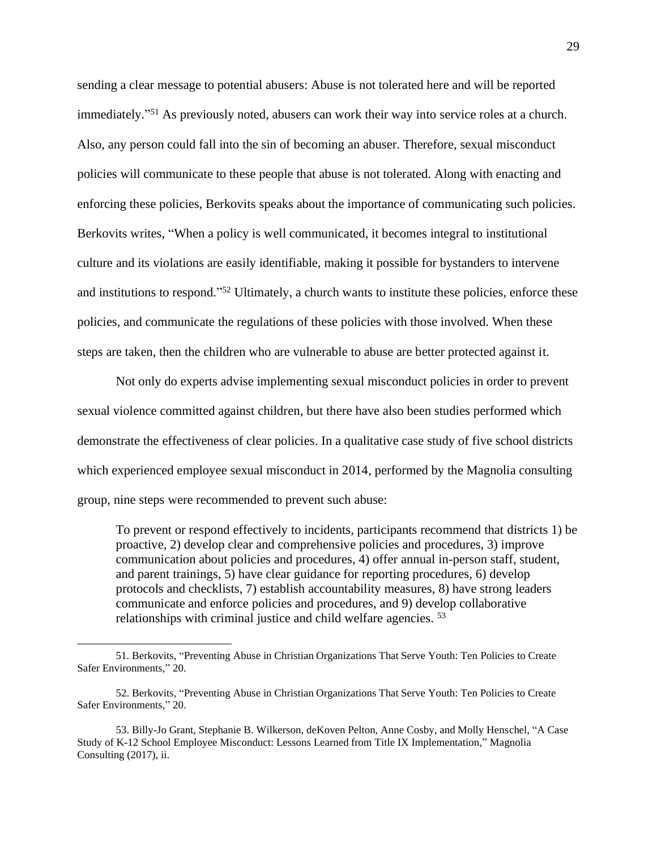sending a clear message to potential abusers: Abuse is not tolerated here and will be reported immediately." <sup>51</sup> As previously noted, abusers can work their way into service roles at a church. Also, any person could fall into the sin of becoming an abuser. Therefore, sexual misconduct policies will communicate to these people that abuse is not tolerated. Along with enacting and enforcing these policies, Berkovits speaks about the importance of communicating such policies. Berkovits writes, "When a policy is well communicated, it becomes integral to institutional culture and its violations are easily identifiable, making it possible for bystanders to intervene and institutions to respond."<sup>52</sup> Ultimately, a church wants to institute these policies, enforce these policies, and communicate the regulations of these policies with those involved. When these steps are taken, then the children who are vulnerable to abuse are better protected against it.

Not only do experts advise implementing sexual misconduct policies in order to prevent sexual violence committed against children, but there have also been studies performed which demonstrate the effectiveness of clear policies. In a qualitative case study of five school districts which experienced employee sexual misconduct in 2014, performed by the Magnolia consulting group, nine steps were recommended to prevent such abuse:

To prevent or respond effectively to incidents, participants recommend that districts 1) be proactive, 2) develop clear and comprehensive policies and procedures, 3) improve communication about policies and procedures, 4) offer annual in-person staff, student, and parent trainings, 5) have clear guidance for reporting procedures, 6) develop protocols and checklists, 7) establish accountability measures, 8) have strong leaders communicate and enforce policies and procedures, and 9) develop collaborative relationships with criminal justice and child welfare agencies. <sup>53</sup>

<sup>51.</sup> Berkovits, "Preventing Abuse in Christian Organizations That Serve Youth: Ten Policies to Create Safer Environments," 20.

<sup>52.</sup> Berkovits, "Preventing Abuse in Christian Organizations That Serve Youth: Ten Policies to Create Safer Environments," 20.

<sup>53.</sup> Billy-Jo Grant, Stephanie B. Wilkerson, deKoven Pelton, Anne Cosby, and Molly Henschel, "A Case Study of K-12 School Employee Misconduct: Lessons Learned from Title IX Implementation," Magnolia Consulting (2017), ii.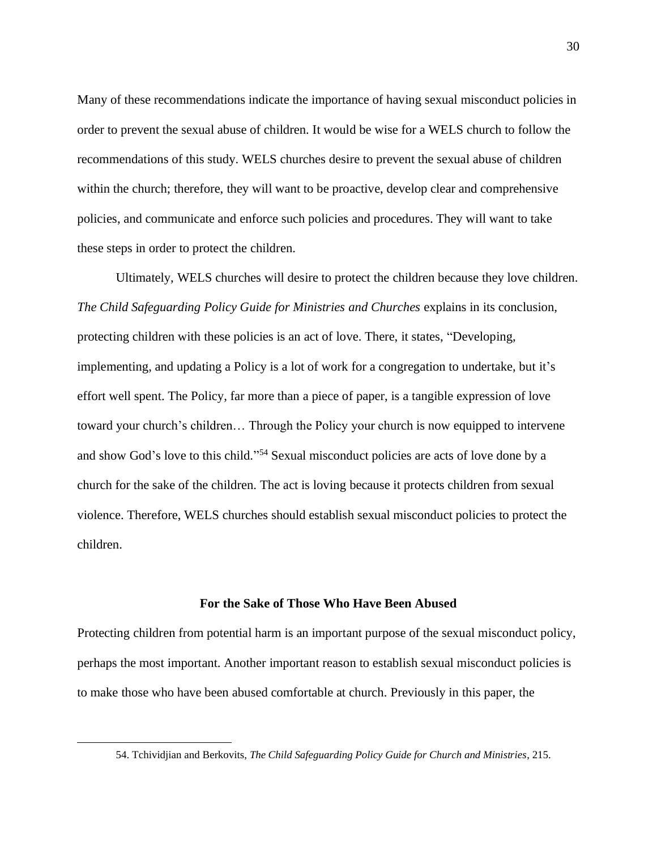Many of these recommendations indicate the importance of having sexual misconduct policies in order to prevent the sexual abuse of children. It would be wise for a WELS church to follow the recommendations of this study. WELS churches desire to prevent the sexual abuse of children within the church; therefore, they will want to be proactive, develop clear and comprehensive policies, and communicate and enforce such policies and procedures. They will want to take these steps in order to protect the children.

Ultimately, WELS churches will desire to protect the children because they love children. *The Child Safeguarding Policy Guide for Ministries and Churches* explains in its conclusion, protecting children with these policies is an act of love. There, it states, "Developing, implementing, and updating a Policy is a lot of work for a congregation to undertake, but it's effort well spent. The Policy, far more than a piece of paper, is a tangible expression of love toward your church's children… Through the Policy your church is now equipped to intervene and show God's love to this child." <sup>54</sup> Sexual misconduct policies are acts of love done by a church for the sake of the children. The act is loving because it protects children from sexual violence. Therefore, WELS churches should establish sexual misconduct policies to protect the children.

## **For the Sake of Those Who Have Been Abused**

<span id="page-33-0"></span>Protecting children from potential harm is an important purpose of the sexual misconduct policy, perhaps the most important. Another important reason to establish sexual misconduct policies is to make those who have been abused comfortable at church. Previously in this paper, the

<sup>54.</sup> Tchividjian and Berkovits, *The Child Safeguarding Policy Guide for Church and Ministries*, 215.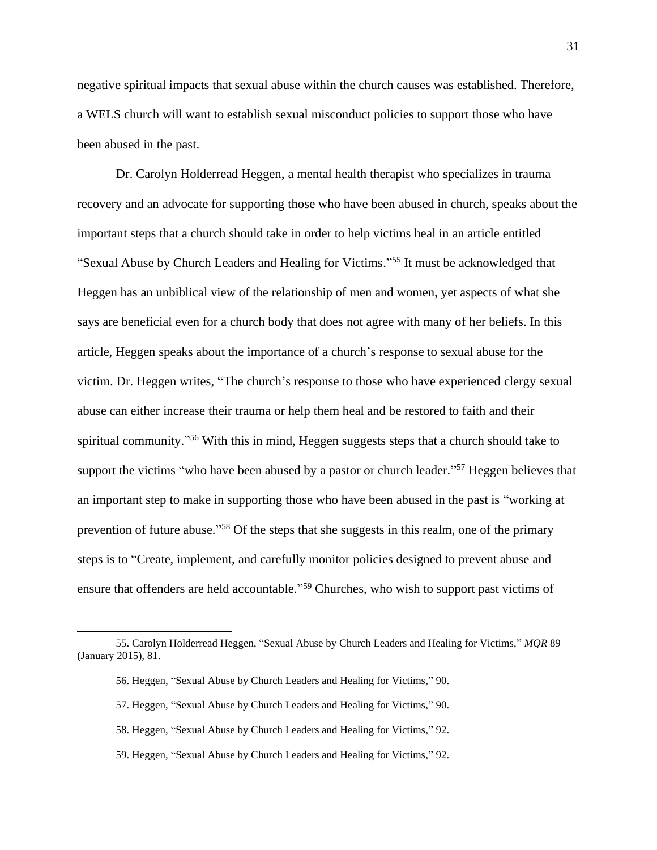negative spiritual impacts that sexual abuse within the church causes was established. Therefore, a WELS church will want to establish sexual misconduct policies to support those who have been abused in the past.

Dr. Carolyn Holderread Heggen, a mental health therapist who specializes in trauma recovery and an advocate for supporting those who have been abused in church, speaks about the important steps that a church should take in order to help victims heal in an article entitled "Sexual Abuse by Church Leaders and Healing for Victims." <sup>55</sup> It must be acknowledged that Heggen has an unbiblical view of the relationship of men and women, yet aspects of what she says are beneficial even for a church body that does not agree with many of her beliefs. In this article, Heggen speaks about the importance of a church's response to sexual abuse for the victim. Dr. Heggen writes, "The church's response to those who have experienced clergy sexual abuse can either increase their trauma or help them heal and be restored to faith and their spiritual community."<sup>56</sup> With this in mind, Heggen suggests steps that a church should take to support the victims "who have been abused by a pastor or church leader."<sup>57</sup> Heggen believes that an important step to make in supporting those who have been abused in the past is "working at prevention of future abuse."<sup>58</sup> Of the steps that she suggests in this realm, one of the primary steps is to "Create, implement, and carefully monitor policies designed to prevent abuse and ensure that offenders are held accountable."<sup>59</sup> Churches, who wish to support past victims of

59. Heggen, "Sexual Abuse by Church Leaders and Healing for Victims," 92.

<sup>55.</sup> Carolyn Holderread Heggen, "Sexual Abuse by Church Leaders and Healing for Victims," *MQR* 89 (January 2015), 81.

<sup>56.</sup> Heggen, "Sexual Abuse by Church Leaders and Healing for Victims," 90.

<sup>57.</sup> Heggen, "Sexual Abuse by Church Leaders and Healing for Victims," 90.

<sup>58.</sup> Heggen, "Sexual Abuse by Church Leaders and Healing for Victims," 92.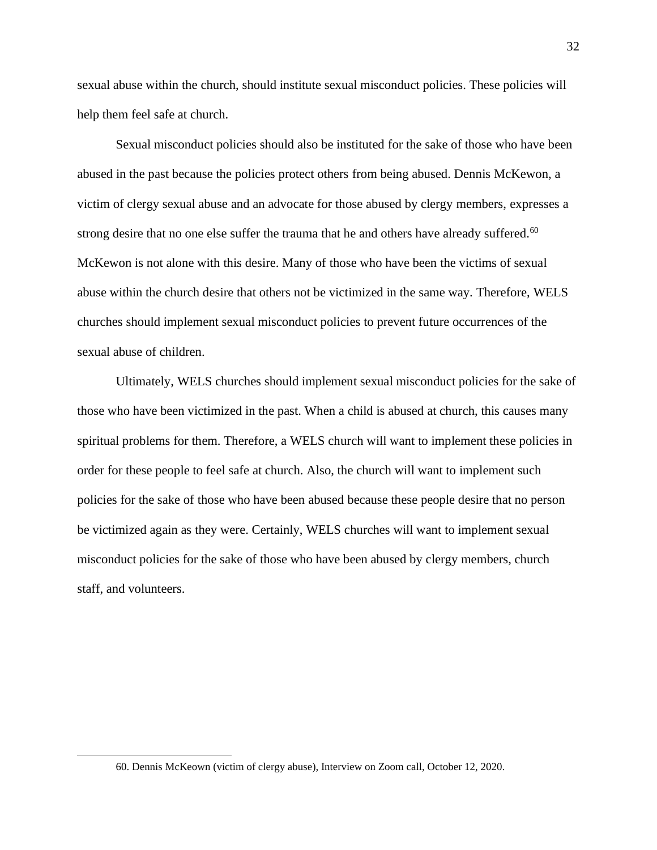sexual abuse within the church, should institute sexual misconduct policies. These policies will help them feel safe at church.

Sexual misconduct policies should also be instituted for the sake of those who have been abused in the past because the policies protect others from being abused. Dennis McKewon, a victim of clergy sexual abuse and an advocate for those abused by clergy members, expresses a strong desire that no one else suffer the trauma that he and others have already suffered.<sup>60</sup> McKewon is not alone with this desire. Many of those who have been the victims of sexual abuse within the church desire that others not be victimized in the same way. Therefore, WELS churches should implement sexual misconduct policies to prevent future occurrences of the sexual abuse of children.

Ultimately, WELS churches should implement sexual misconduct policies for the sake of those who have been victimized in the past. When a child is abused at church, this causes many spiritual problems for them. Therefore, a WELS church will want to implement these policies in order for these people to feel safe at church. Also, the church will want to implement such policies for the sake of those who have been abused because these people desire that no person be victimized again as they were. Certainly, WELS churches will want to implement sexual misconduct policies for the sake of those who have been abused by clergy members, church staff, and volunteers.

<sup>60.</sup> Dennis McKeown (victim of clergy abuse), Interview on Zoom call, October 12, 2020.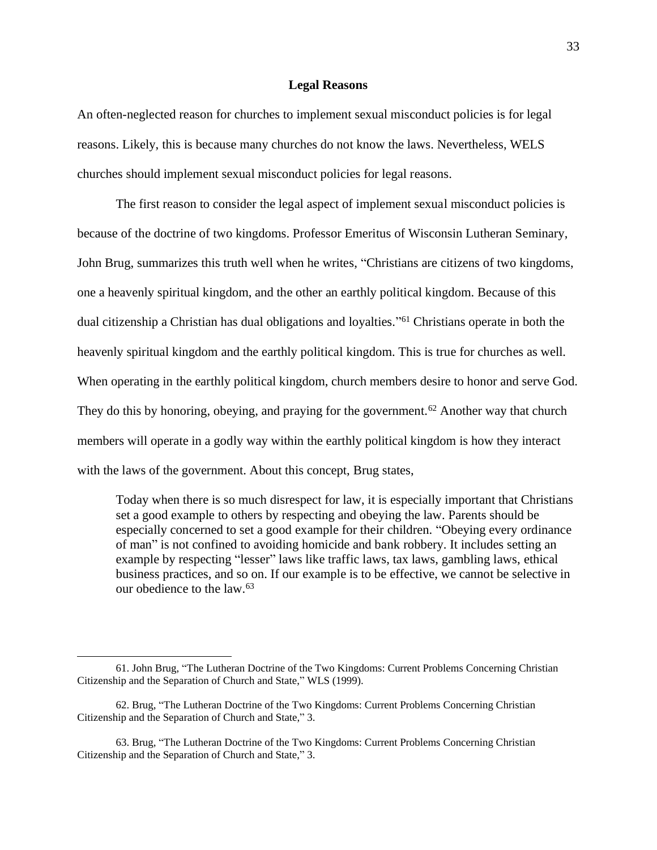## **Legal Reasons**

<span id="page-36-0"></span>An often-neglected reason for churches to implement sexual misconduct policies is for legal reasons. Likely, this is because many churches do not know the laws. Nevertheless, WELS churches should implement sexual misconduct policies for legal reasons.

The first reason to consider the legal aspect of implement sexual misconduct policies is because of the doctrine of two kingdoms. Professor Emeritus of Wisconsin Lutheran Seminary, John Brug, summarizes this truth well when he writes, "Christians are citizens of two kingdoms, one a heavenly spiritual kingdom, and the other an earthly political kingdom. Because of this dual citizenship a Christian has dual obligations and loyalties." <sup>61</sup> Christians operate in both the heavenly spiritual kingdom and the earthly political kingdom. This is true for churches as well. When operating in the earthly political kingdom, church members desire to honor and serve God. They do this by honoring, obeying, and praying for the government.<sup>62</sup> Another way that church members will operate in a godly way within the earthly political kingdom is how they interact with the laws of the government. About this concept, Brug states,

Today when there is so much disrespect for law, it is especially important that Christians set a good example to others by respecting and obeying the law. Parents should be especially concerned to set a good example for their children. "Obeying every ordinance of man" is not confined to avoiding homicide and bank robbery. It includes setting an example by respecting "lesser" laws like traffic laws, tax laws, gambling laws, ethical business practices, and so on. If our example is to be effective, we cannot be selective in our obedience to the law.<sup>63</sup>

<sup>61.</sup> John Brug, "The Lutheran Doctrine of the Two Kingdoms: Current Problems Concerning Christian Citizenship and the Separation of Church and State," WLS (1999).

<sup>62.</sup> Brug, "The Lutheran Doctrine of the Two Kingdoms: Current Problems Concerning Christian Citizenship and the Separation of Church and State," 3.

<sup>63.</sup> Brug, "The Lutheran Doctrine of the Two Kingdoms: Current Problems Concerning Christian Citizenship and the Separation of Church and State," 3.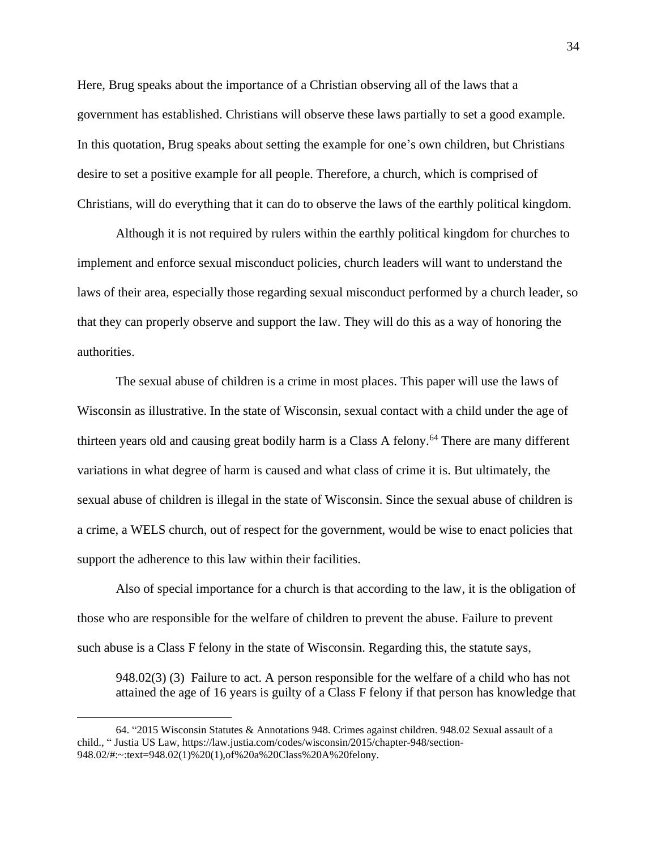Here, Brug speaks about the importance of a Christian observing all of the laws that a government has established. Christians will observe these laws partially to set a good example. In this quotation, Brug speaks about setting the example for one's own children, but Christians desire to set a positive example for all people. Therefore, a church, which is comprised of Christians, will do everything that it can do to observe the laws of the earthly political kingdom.

Although it is not required by rulers within the earthly political kingdom for churches to implement and enforce sexual misconduct policies, church leaders will want to understand the laws of their area, especially those regarding sexual misconduct performed by a church leader, so that they can properly observe and support the law. They will do this as a way of honoring the authorities.

The sexual abuse of children is a crime in most places. This paper will use the laws of Wisconsin as illustrative. In the state of Wisconsin, sexual contact with a child under the age of thirteen years old and causing great bodily harm is a Class A felony.<sup>64</sup> There are many different variations in what degree of harm is caused and what class of crime it is. But ultimately, the sexual abuse of children is illegal in the state of Wisconsin. Since the sexual abuse of children is a crime, a WELS church, out of respect for the government, would be wise to enact policies that support the adherence to this law within their facilities.

Also of special importance for a church is that according to the law, it is the obligation of those who are responsible for the welfare of children to prevent the abuse. Failure to prevent such abuse is a Class F felony in the state of Wisconsin. Regarding this, the statute says,

948.02(3) (3) Failure to act. A person responsible for the welfare of a child who has not attained the age of 16 years is guilty of a Class F felony if that person has knowledge that

<sup>64. &</sup>quot;2015 Wisconsin Statutes & Annotations 948. Crimes against children. 948.02 Sexual assault of a child., " Justia US Law, https://law.justia.com/codes/wisconsin/2015/chapter-948/section-948.02/#:~:text=948.02(1)%20(1),of%20a%20Class%20A%20felony.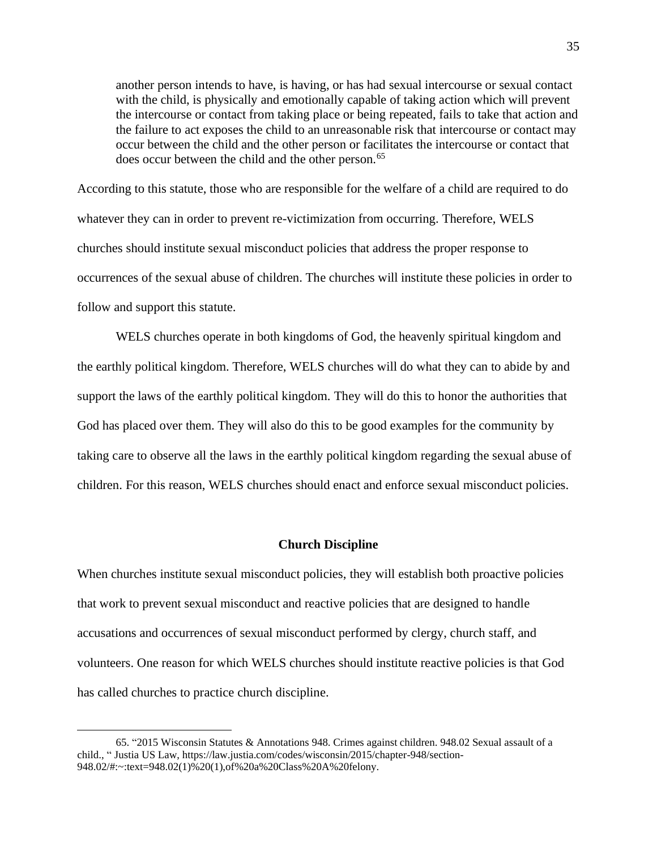another person intends to have, is having, or has had sexual intercourse or sexual contact with the child, is physically and emotionally capable of taking action which will prevent the intercourse or contact from taking place or being repeated, fails to take that action and the failure to act exposes the child to an unreasonable risk that intercourse or contact may occur between the child and the other person or facilitates the intercourse or contact that does occur between the child and the other person.<sup>65</sup>

According to this statute, those who are responsible for the welfare of a child are required to do whatever they can in order to prevent re-victimization from occurring. Therefore, WELS churches should institute sexual misconduct policies that address the proper response to occurrences of the sexual abuse of children. The churches will institute these policies in order to follow and support this statute.

WELS churches operate in both kingdoms of God, the heavenly spiritual kingdom and the earthly political kingdom. Therefore, WELS churches will do what they can to abide by and support the laws of the earthly political kingdom. They will do this to honor the authorities that God has placed over them. They will also do this to be good examples for the community by taking care to observe all the laws in the earthly political kingdom regarding the sexual abuse of children. For this reason, WELS churches should enact and enforce sexual misconduct policies.

#### **Church Discipline**

<span id="page-38-0"></span>When churches institute sexual misconduct policies, they will establish both proactive policies that work to prevent sexual misconduct and reactive policies that are designed to handle accusations and occurrences of sexual misconduct performed by clergy, church staff, and volunteers. One reason for which WELS churches should institute reactive policies is that God has called churches to practice church discipline.

<sup>65. &</sup>quot;2015 Wisconsin Statutes & Annotations 948. Crimes against children. 948.02 Sexual assault of a child., " Justia US Law, https://law.justia.com/codes/wisconsin/2015/chapter-948/section-948.02/#:~:text=948.02(1)%20(1),of%20a%20Class%20A%20felony.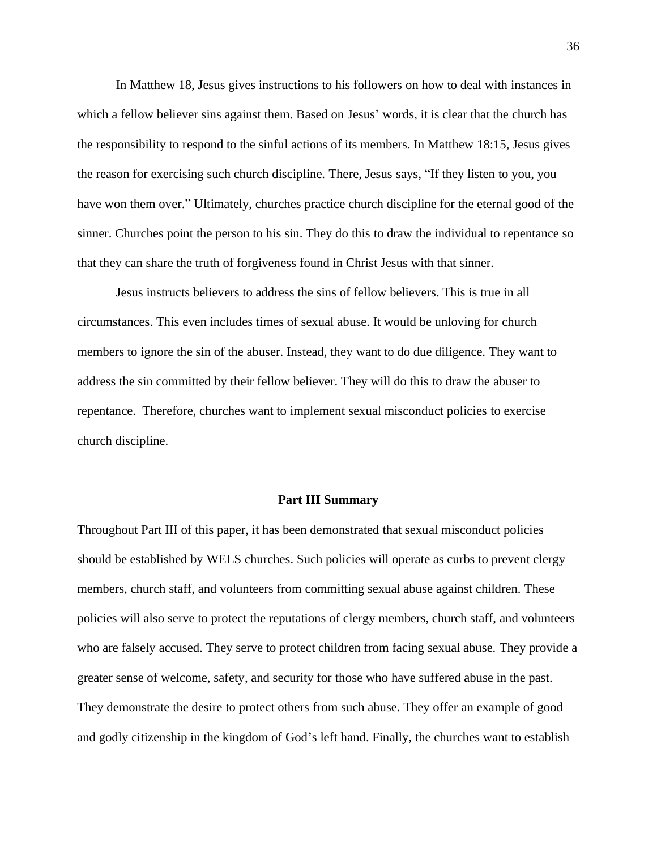In Matthew 18, Jesus gives instructions to his followers on how to deal with instances in which a fellow believer sins against them. Based on Jesus' words, it is clear that the church has the responsibility to respond to the sinful actions of its members. In Matthew 18:15, Jesus gives the reason for exercising such church discipline. There, Jesus says, "If they listen to you, you have won them over." Ultimately, churches practice church discipline for the eternal good of the sinner. Churches point the person to his sin. They do this to draw the individual to repentance so that they can share the truth of forgiveness found in Christ Jesus with that sinner.

Jesus instructs believers to address the sins of fellow believers. This is true in all circumstances. This even includes times of sexual abuse. It would be unloving for church members to ignore the sin of the abuser. Instead, they want to do due diligence. They want to address the sin committed by their fellow believer. They will do this to draw the abuser to repentance. Therefore, churches want to implement sexual misconduct policies to exercise church discipline.

#### **Part III Summary**

<span id="page-39-0"></span>Throughout Part III of this paper, it has been demonstrated that sexual misconduct policies should be established by WELS churches. Such policies will operate as curbs to prevent clergy members, church staff, and volunteers from committing sexual abuse against children. These policies will also serve to protect the reputations of clergy members, church staff, and volunteers who are falsely accused. They serve to protect children from facing sexual abuse. They provide a greater sense of welcome, safety, and security for those who have suffered abuse in the past. They demonstrate the desire to protect others from such abuse. They offer an example of good and godly citizenship in the kingdom of God's left hand. Finally, the churches want to establish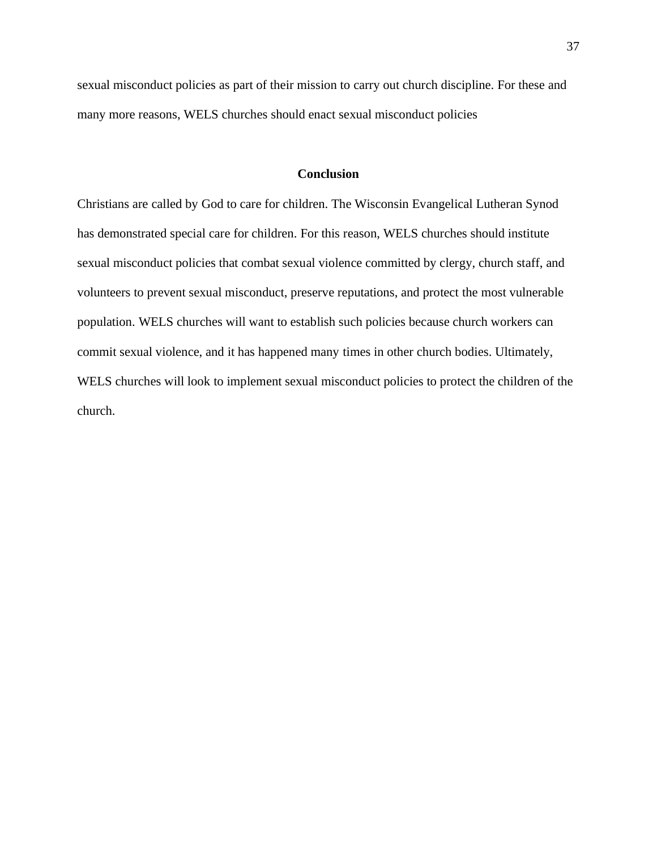sexual misconduct policies as part of their mission to carry out church discipline. For these and many more reasons, WELS churches should enact sexual misconduct policies

## **Conclusion**

<span id="page-40-0"></span>Christians are called by God to care for children. The Wisconsin Evangelical Lutheran Synod has demonstrated special care for children. For this reason, WELS churches should institute sexual misconduct policies that combat sexual violence committed by clergy, church staff, and volunteers to prevent sexual misconduct, preserve reputations, and protect the most vulnerable population. WELS churches will want to establish such policies because church workers can commit sexual violence, and it has happened many times in other church bodies. Ultimately, WELS churches will look to implement sexual misconduct policies to protect the children of the church.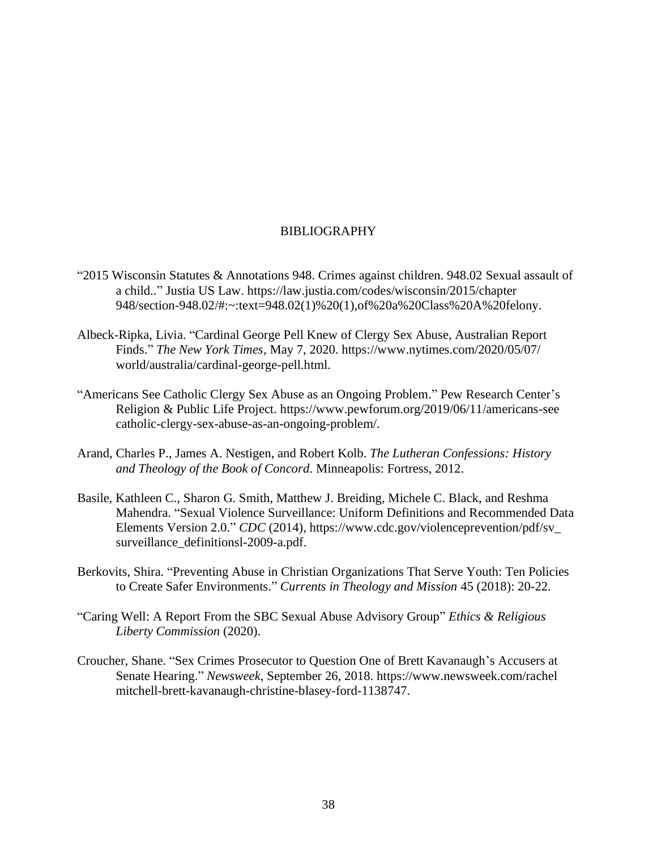# BIBLIOGRAPHY

- <span id="page-41-0"></span>"2015 Wisconsin Statutes & Annotations 948. Crimes against children. 948.02 Sexual assault of a child.." Justia US Law. https://law.justia.com/codes/wisconsin/2015/chapter 948/section-948.02/#:~:text=948.02(1)%20(1),of%20a%20Class%20A%20felony.
- Albeck-Ripka, Livia. "Cardinal George Pell Knew of Clergy Sex Abuse, Australian Report Finds." *The New York Times*, May 7, 2020. https://www.nytimes.com/2020/05/07/ world/australia/cardinal-george-pell.html.
- "Americans See Catholic Clergy Sex Abuse as an Ongoing Problem." Pew Research Center's Religion & Public Life Project. https://www.pewforum.org/2019/06/11/americans-see catholic-clergy-sex-abuse-as-an-ongoing-problem/.
- Arand, Charles P., James A. Nestigen, and Robert Kolb. *The Lutheran Confessions: History and Theology of the Book of Concord*. Minneapolis: Fortress, 2012.
- Basile, Kathleen C., Sharon G. Smith, Matthew J. Breiding, Michele C. Black, and Reshma Mahendra. "Sexual Violence Surveillance: Uniform Definitions and Recommended Data Elements Version 2.0." *CDC* (2014), https://www.cdc.gov/violenceprevention/pdf/sv\_ surveillance\_definitionsl-2009-a.pdf.
- Berkovits, Shira. "Preventing Abuse in Christian Organizations That Serve Youth: Ten Policies to Create Safer Environments." *Currents in Theology and Mission* 45 (2018): 20-22.
- "Caring Well: A Report From the SBC Sexual Abuse Advisory Group" *Ethics & Religious Liberty Commission* (2020).
- Croucher, Shane. "Sex Crimes Prosecutor to Question One of Brett Kavanaugh's Accusers at Senate Hearing." *Newsweek*, September 26, 2018. https://www.newsweek.com/rachel mitchell-brett-kavanaugh-christine-blasey-ford-1138747.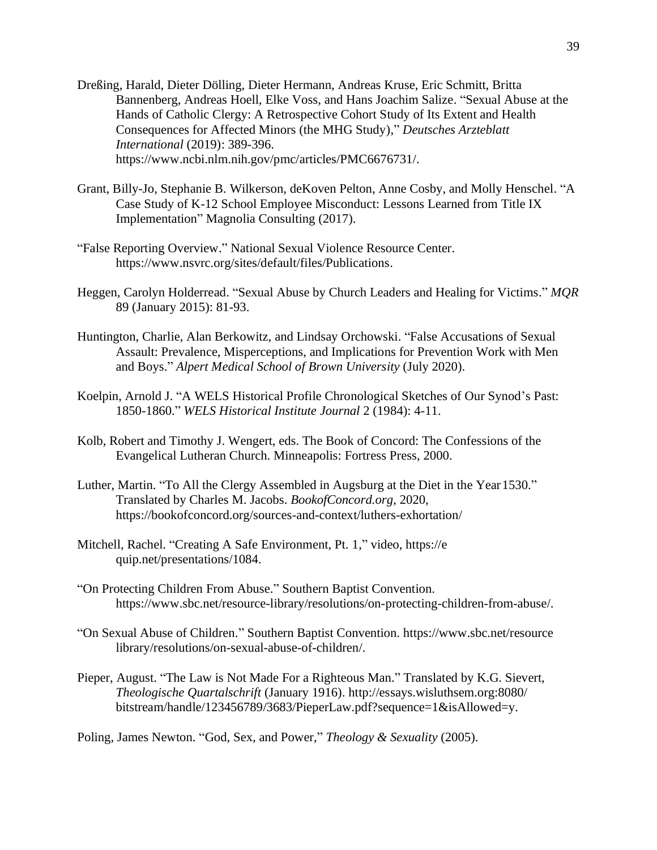- Dreßing, Harald, Dieter Dölling, Dieter Hermann, Andreas Kruse, Eric Schmitt, Britta Bannenberg, Andreas Hoell, Elke Voss, and Hans Joachim Salize. "Sexual Abuse at the Hands of Catholic Clergy: A Retrospective Cohort Study of Its Extent and Health Consequences for Affected Minors (the MHG Study)," *Deutsches Arzteblatt International* (2019): 389-396. https://www.ncbi.nlm.nih.gov/pmc/articles/PMC6676731/.
- Grant, Billy-Jo, Stephanie B. Wilkerson, deKoven Pelton, Anne Cosby, and Molly Henschel. "A Case Study of K-12 School Employee Misconduct: Lessons Learned from Title IX Implementation" Magnolia Consulting (2017).
- "False Reporting Overview." National Sexual Violence Resource Center. https://www.nsvrc.org/sites/default/files/Publications.
- Heggen, Carolyn Holderread. "Sexual Abuse by Church Leaders and Healing for Victims." *MQR* 89 (January 2015): 81-93.
- Huntington, Charlie, Alan Berkowitz, and Lindsay Orchowski. "False Accusations of Sexual Assault: Prevalence, Misperceptions, and Implications for Prevention Work with Men and Boys." *Alpert Medical School of Brown University* (July 2020).
- Koelpin, Arnold J. "A WELS Historical Profile Chronological Sketches of Our Synod's Past: 1850-1860." *WELS Historical Institute Journal* 2 (1984): 4-11.
- Kolb, Robert and Timothy J. Wengert, eds. The Book of Concord: The Confessions of the Evangelical Lutheran Church. Minneapolis: Fortress Press, 2000.
- Luther, Martin. "To All the Clergy Assembled in Augsburg at the Diet in the Year1530." Translated by Charles M. Jacobs. *BookofConcord.org*, 2020, https://bookofconcord.org/sources-and-context/luthers-exhortation/
- Mitchell, Rachel. "Creating A Safe Environment, Pt. 1," video, https://e quip.net/presentations/1084.
- "On Protecting Children From Abuse." Southern Baptist Convention. https://www.sbc.net/resource-library/resolutions/on-protecting-children-from-abuse/.
- "On Sexual Abuse of Children." Southern Baptist Convention. https://www.sbc.net/resource library/resolutions/on-sexual-abuse-of-children/.
- Pieper, August. "The Law is Not Made For a Righteous Man." Translated by K.G. Sievert, *Theologische Quartalschrift* (January 1916). http://essays.wisluthsem.org:8080/ bitstream/handle/123456789/3683/PieperLaw.pdf?sequence=1&isAllowed=y.

Poling, James Newton. "God, Sex, and Power," *Theology & Sexuality* (2005).